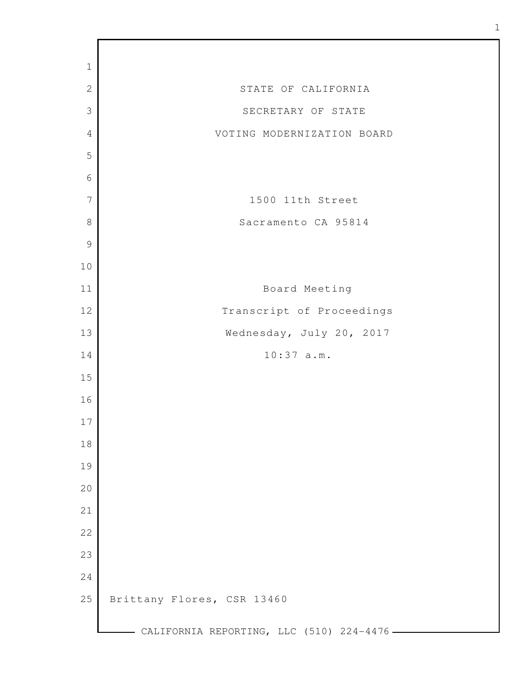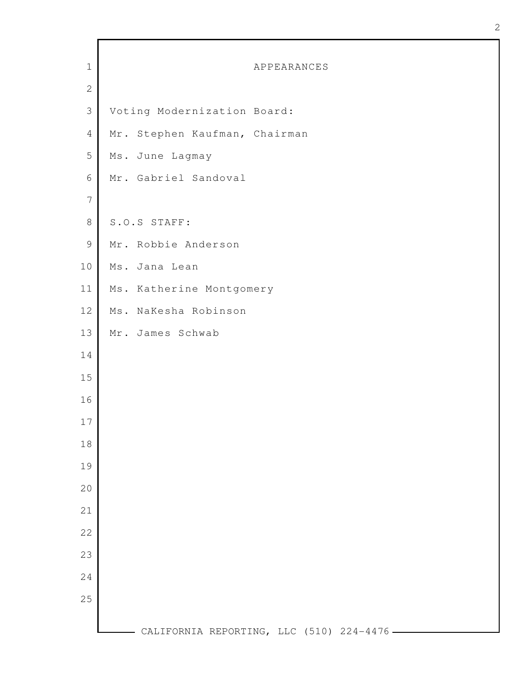| ×<br>۰.<br>I |  |
|--------------|--|
| ë<br>i       |  |
| i            |  |
|              |  |

| $\mathbf 1$    | APPEARANCES                               |
|----------------|-------------------------------------------|
| $\mathbf{2}$   |                                           |
| $\mathcal{S}$  | Voting Modernization Board:               |
| $\overline{4}$ | Mr. Stephen Kaufman, Chairman             |
| 5              | Ms. June Lagmay                           |
| $\epsilon$     | Mr. Gabriel Sandoval                      |
| $\overline{7}$ |                                           |
| $\,8\,$        | S.O.S STAFF:                              |
| $\mathsf 9$    | Mr. Robbie Anderson                       |
| 10             | Ms. Jana Lean                             |
| 11             | Ms. Katherine Montgomery                  |
| 12             | Ms. NaKesha Robinson                      |
| 13             | Mr. James Schwab                          |
| 14             |                                           |
| 15             |                                           |
| 16             |                                           |
| 17             |                                           |
| 18             |                                           |
| 19             |                                           |
| 20             |                                           |
| 21             |                                           |
| 22             |                                           |
| 23             |                                           |
| 24             |                                           |
| 25             |                                           |
|                | CALIFORNIA REPORTING, LLC (510) 224-4476. |

г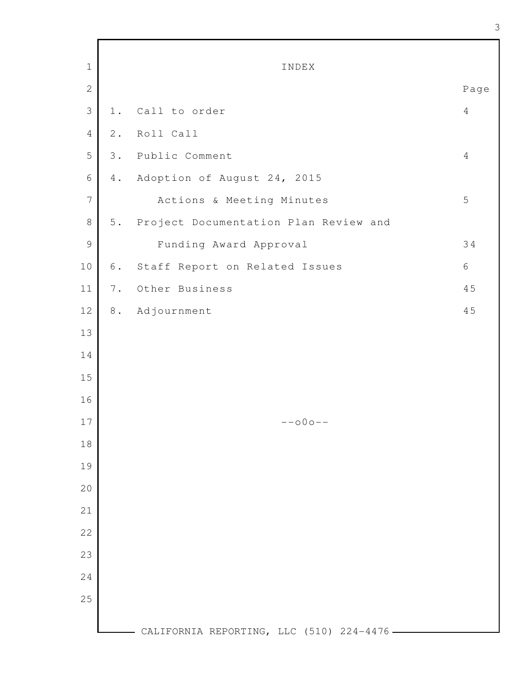| $\mathbf{1}$   |       | INDEX                                      |                |
|----------------|-------|--------------------------------------------|----------------|
| $\mathbf{2}$   |       |                                            | Page           |
| $\mathcal{S}$  | 1.    | Call to order                              | $\overline{4}$ |
| $\overline{4}$ | $2$ . | Roll Call                                  |                |
| 5              | 3.    | Public Comment                             | $\overline{4}$ |
| $\sqrt{6}$     | 4.    | Adoption of August 24, 2015                |                |
| $\sqrt{ }$     |       | Actions & Meeting Minutes                  | 5              |
| $\,8\,$        |       | 5. Project Documentation Plan Review and   |                |
| $\mathcal{G}$  |       | Funding Award Approval                     | 34             |
| 10             | 6.    | Staff Report on Related Issues             | 6              |
| 11             | 7.    | Other Business                             | 45             |
| $12$           | 8.    | Adjournment                                | 45             |
| 13             |       |                                            |                |
| 14             |       |                                            |                |
| 15             |       |                                            |                |
| 16             |       |                                            |                |
| $17$           |       | $--000--$                                  |                |
| 18             |       |                                            |                |
| 19             |       |                                            |                |
| 20             |       |                                            |                |
| 21             |       |                                            |                |
| 22             |       |                                            |                |
| 23             |       |                                            |                |
|                |       |                                            |                |
| 24             |       |                                            |                |
| 25             |       |                                            |                |
|                |       | CALIFORNIA REPORTING, LLC (510) 224-4476 - |                |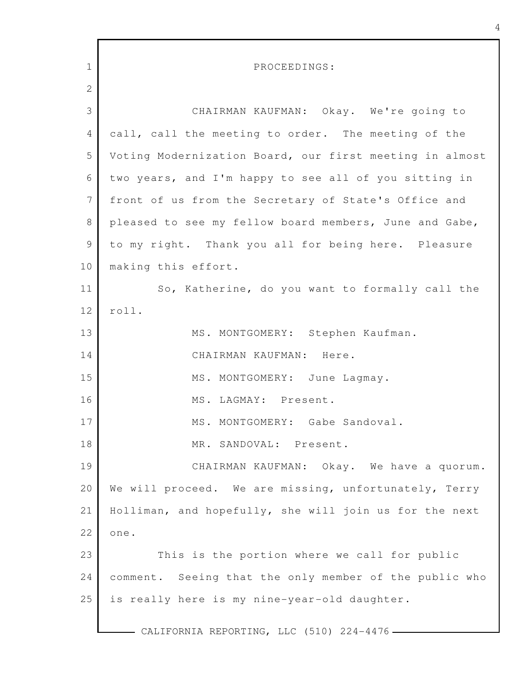| $\mathbf 1$     | PROCEEDINGS:                                            |
|-----------------|---------------------------------------------------------|
| $\mathbf{2}$    |                                                         |
| 3               | CHAIRMAN KAUFMAN: Okay. We're going to                  |
| 4               | call, call the meeting to order. The meeting of the     |
| 5               | Voting Modernization Board, our first meeting in almost |
| 6               | two years, and I'm happy to see all of you sitting in   |
| $7\phantom{.0}$ | front of us from the Secretary of State's Office and    |
| $\,8\,$         | pleased to see my fellow board members, June and Gabe,  |
| $\mathcal{G}$   | to my right. Thank you all for being here. Pleasure     |
| 10              | making this effort.                                     |
| 11              | So, Katherine, do you want to formally call the         |
| 12              | roll.                                                   |
| 13              | MS. MONTGOMERY: Stephen Kaufman.                        |
| 14              | CHAIRMAN KAUFMAN: Here.                                 |
| 15              | MS. MONTGOMERY: June Lagmay.                            |
| 16              | MS. LAGMAY: Present.                                    |
| 17              | MS. MONTGOMERY: Gabe Sandoval.                          |
| 18              | MR. SANDOVAL: Present.                                  |
| 19              | CHAIRMAN KAUFMAN: Okay. We have a quorum.               |
| 20              | We will proceed. We are missing, unfortunately, Terry   |
| 21              | Holliman, and hopefully, she will join us for the next  |
| 22              | one.                                                    |
| 23              | This is the portion where we call for public            |
| 24              | comment. Seeing that the only member of the public who  |
| 25              | is really here is my nine-year-old daughter.            |
|                 | CALIFORNIA REPORTING, LLC (510) 224-4476 -              |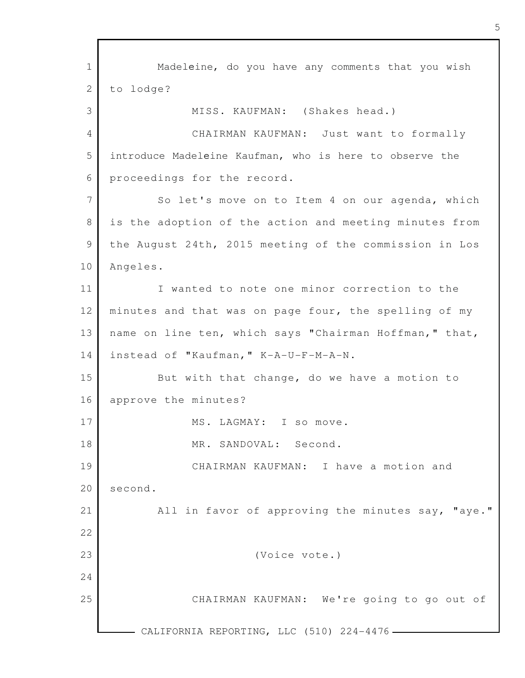1 2 3 4 5 6 7 8 9 10 11 12 13 14 15 16 17 18 19 20 21 22 23 24 25 - CALIFORNIA REPORTING, LLC (510) 224-4476 -Madeleine, do you have any comments that you wish to lodge? MISS. KAUFMAN: (Shakes head.) CHAIRMAN KAUFMAN: Just want to formally introduce Madeleine Kaufman, who is here to observe the proceedings for the record. So let's move on to Item 4 on our agenda, which is the adoption of the action and meeting minutes from the August 24th, 2015 meeting of the commission in Los Angeles. I wanted to note one minor correction to the minutes and that was on page four, the spelling of my name on line ten, which says "Chairman Hoffman," that, instead of "Kaufman," K-A-U-F-M-A-N. But with that change, do we have a motion to approve the minutes? MS. LAGMAY: I so move. MR. SANDOVAL: Second. CHAIRMAN KAUFMAN: I have a motion and second. All in favor of approving the minutes say, "aye." (Voice vote.) CHAIRMAN KAUFMAN: We're going to go out of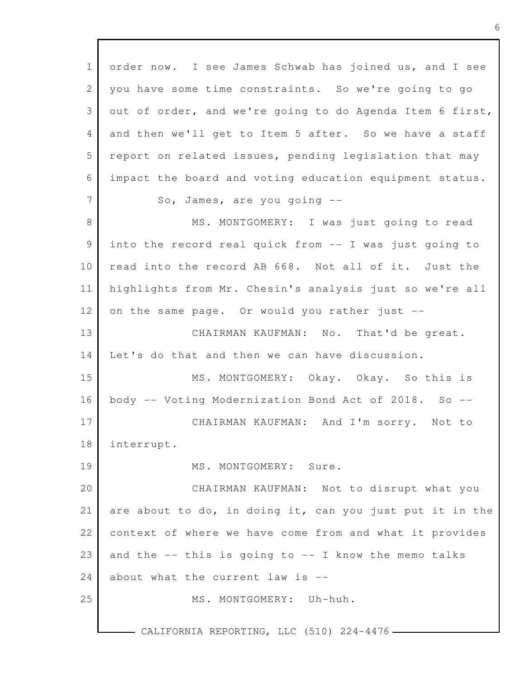1 2 3 4 5 6 7 8 9 10 11 12 13 14 15 16 17 18 19 20 21 22 23 24 25 order now. I see James Schwab has joined us, and I see you have some time constraints. So we're going to go out of order, and we're going to do Agenda Item 6 first, and then we'll get to Item 5 after. So we have a staff report on related issues, pending legislation that may impact the board and voting education equipment status. So, James, are you going -- MS. MONTGOMERY: I was just going to read into the record real quick from -- I was just going to read into the record AB 668. Not all of it. Just the highlights from Mr. Chesin's analysis just so we're all on the same page. Or would you rather just -- CHAIRMAN KAUFMAN: No. That'd be great. Let's do that and then we can have discussion. MS. MONTGOMERY: Okay. Okay. So this is body -- Voting Modernization Bond Act of 2018. So -- CHAIRMAN KAUFMAN: And I'm sorry. Not to interrupt. MS. MONTGOMERY: Sure. CHAIRMAN KAUFMAN: Not to disrupt what you are about to do, in doing it, can you just put it in the context of where we have come from and what it provides and the  $--$  this is going to  $--$  I know the memo talks about what the current law is -- MS. MONTGOMERY: Uh-huh.

CALIFORNIA REPORTING, LLC (510) 224-4476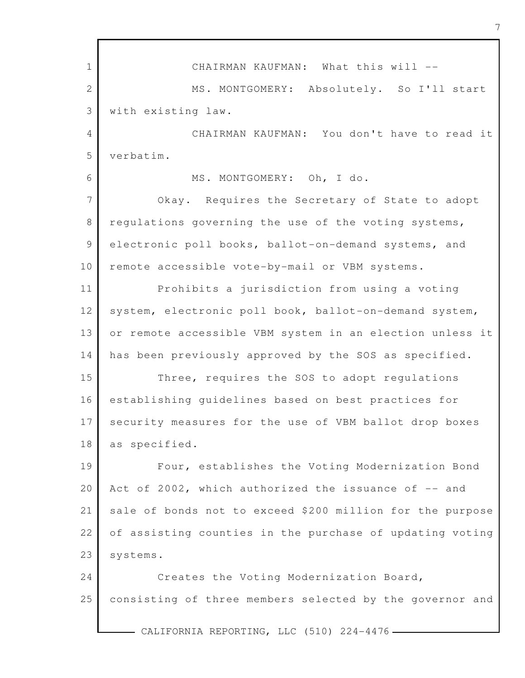1 2 3 4 5 6 7 8 9 10 11 12 13 14 15 16 17 18 19 20 21 22 23 24 25 - CALIFORNIA REPORTING, LLC (510) 224-4476 -CHAIRMAN KAUFMAN: What this will --MS. MONTGOMERY: Absolutely. So I'll start with existing law. CHAIRMAN KAUFMAN: You don't have to read it verbatim. MS. MONTGOMERY: Oh, I do. Okay. Requires the Secretary of State to adopt regulations governing the use of the voting systems, electronic poll books, ballot-on-demand systems, and remote accessible vote-by-mail or VBM systems. Prohibits a jurisdiction from using a voting system, electronic poll book, ballot-on-demand system, or remote accessible VBM system in an election unless it has been previously approved by the SOS as specified. Three, requires the SOS to adopt regulations establishing guidelines based on best practices for security measures for the use of VBM ballot drop boxes as specified. Four, establishes the Voting Modernization Bond Act of 2002, which authorized the issuance of -- and sale of bonds not to exceed \$200 million for the purpose of assisting counties in the purchase of updating voting systems. Creates the Voting Modernization Board, consisting of three members selected by the governor and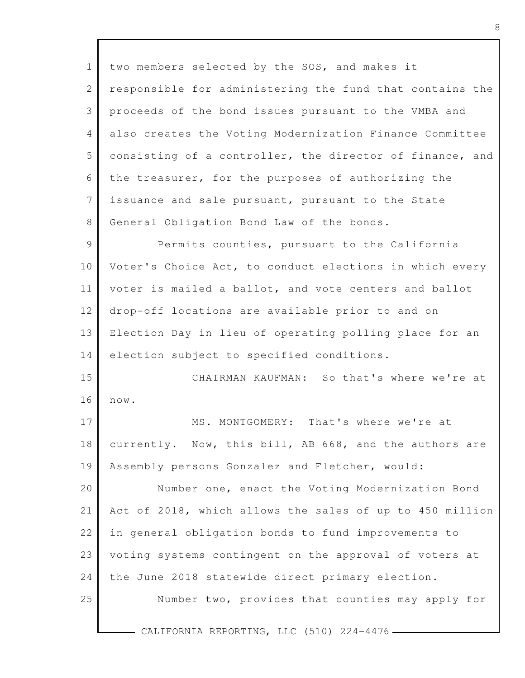1 2 3 4 5 6 7 8 9 10 11 12 13 14 15 16 17 18 19 20 21 22 23 24 25 CALIFORNIA REPORTING, LLC (510) 224-4476 two members selected by the SOS, and makes it responsible for administering the fund that contains the proceeds of the bond issues pursuant to the VMBA and also creates the Voting Modernization Finance Committee consisting of a controller, the director of finance, and the treasurer, for the purposes of authorizing the issuance and sale pursuant, pursuant to the State General Obligation Bond Law of the bonds. Permits counties, pursuant to the California Voter's Choice Act, to conduct elections in which every voter is mailed a ballot, and vote centers and ballot drop-off locations are available prior to and on Election Day in lieu of operating polling place for an election subject to specified conditions. CHAIRMAN KAUFMAN: So that's where we're at now. MS. MONTGOMERY: That's where we're at currently. Now, this bill, AB 668, and the authors are Assembly persons Gonzalez and Fletcher, would: Number one, enact the Voting Modernization Bond Act of 2018, which allows the sales of up to 450 million in general obligation bonds to fund improvements to voting systems contingent on the approval of voters at the June 2018 statewide direct primary election. Number two, provides that counties may apply for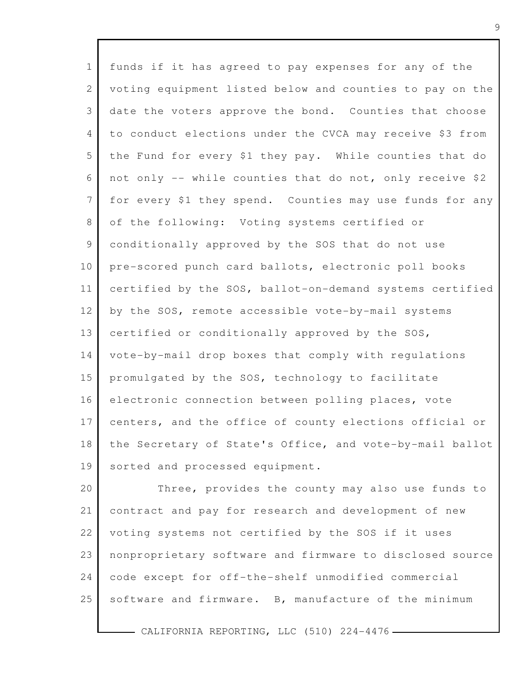| $\mathbf 1$     | funds if it has agreed to pay expenses for any of the    |
|-----------------|----------------------------------------------------------|
| 2               | voting equipment listed below and counties to pay on the |
| 3               | date the voters approve the bond. Counties that choose   |
| 4               | to conduct elections under the CVCA may receive \$3 from |
| 5               | the Fund for every \$1 they pay. While counties that do  |
| 6               | not only -- while counties that do not, only receive \$2 |
| $7\overline{ }$ | for every \$1 they spend. Counties may use funds for any |
| 8               | of the following: Voting systems certified or            |
| 9               | conditionally approved by the SOS that do not use        |
| 10              | pre-scored punch card ballots, electronic poll books     |
| 11              | certified by the SOS, ballot-on-demand systems certified |
| 12              | by the SOS, remote accessible vote-by-mail systems       |
| 13              | certified or conditionally approved by the SOS,          |
| 14              | vote-by-mail drop boxes that comply with regulations     |
| 15              | promulgated by the SOS, technology to facilitate         |
| 16              | electronic connection between polling places, vote       |
| 17              | centers, and the office of county elections official or  |
| 18              | the Secretary of State's Office, and vote-by-mail ballot |
| 19              | sorted and processed equipment.                          |
| 20              | Three, provides the county may also use funds to         |
| 21              | contract and pay for research and development of new     |
| 22              | voting systems not certified by the SOS if it uses       |
|                 |                                                          |

24 code except for off-the-shelf unmodified commercial

nonproprietary software and firmware to disclosed source

25 software and firmware. B, manufacture of the minimum

 $-$  CALIFORNIA REPORTING, LLC (510) 224-4476  $-$ 

23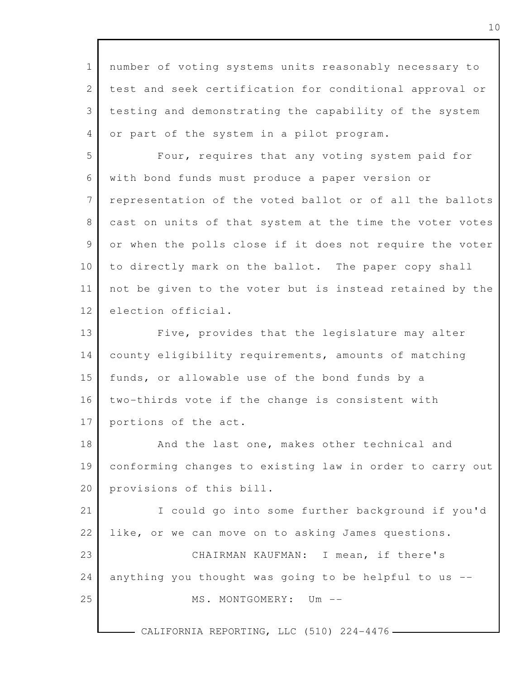1 2 3 4 5 6 7 8 9 10 11 12 13 14 15 16 17 18 19 20 21 22 23 24 25 CALIFORNIA REPORTING, LLC (510) 224-4476number of voting systems units reasonably necessary to test and seek certification for conditional approval or testing and demonstrating the capability of the system or part of the system in a pilot program. Four, requires that any voting system paid for with bond funds must produce a paper version or representation of the voted ballot or of all the ballots cast on units of that system at the time the voter votes or when the polls close if it does not require the voter to directly mark on the ballot. The paper copy shall not be given to the voter but is instead retained by the election official. Five, provides that the legislature may alter county eligibility requirements, amounts of matching funds, or allowable use of the bond funds by a two-thirds vote if the change is consistent with portions of the act. And the last one, makes other technical and conforming changes to existing law in order to carry out provisions of this bill. I could go into some further background if you'd like, or we can move on to asking James questions. CHAIRMAN KAUFMAN: I mean, if there's anything you thought was going to be helpful to us -- MS. MONTGOMERY: Um --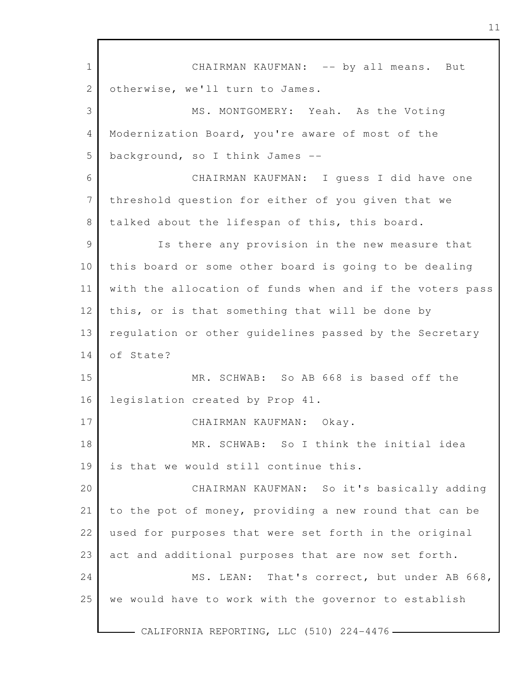1 2 3 4 5 6 7 8 9 10 11 12 13 14 15 16 17 18 19 20 21 22 23 24 25 - CALIFORNIA REPORTING, LLC (510) 224-4476 -CHAIRMAN KAUFMAN: -- by all means. But otherwise, we'll turn to James. MS. MONTGOMERY: Yeah. As the Voting Modernization Board, you're aware of most of the background, so I think James -- CHAIRMAN KAUFMAN: I guess I did have one threshold question for either of you given that we talked about the lifespan of this, this board. Is there any provision in the new measure that this board or some other board is going to be dealing with the allocation of funds when and if the voters pass this, or is that something that will be done by regulation or other guidelines passed by the Secretary of State? MR. SCHWAB: So AB 668 is based off the legislation created by Prop 41. CHAIRMAN KAUFMAN: Okay. MR. SCHWAB: So I think the initial idea is that we would still continue this. CHAIRMAN KAUFMAN: So it's basically adding to the pot of money, providing a new round that can be used for purposes that were set forth in the original act and additional purposes that are now set forth. MS. LEAN: That's correct, but under AB 668, we would have to work with the governor to establish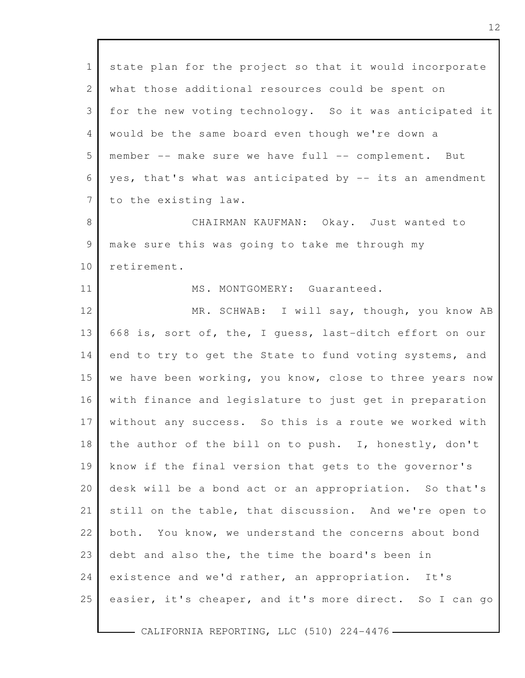| $\mathbf 1$    | state plan for the project so that it would incorporate  |
|----------------|----------------------------------------------------------|
| $\overline{2}$ | what those additional resources could be spent on        |
| 3              | for the new voting technology. So it was anticipated it  |
| 4              | would be the same board even though we're down a         |
| 5              | member -- make sure we have full -- complement. But      |
| 6              | yes, that's what was anticipated by -- its an amendment  |
| 7              | to the existing law.                                     |
| 8              | CHAIRMAN KAUFMAN: Okay. Just wanted to                   |
| 9              | make sure this was going to take me through my           |
| 10             | retirement.                                              |
| 11             | MS. MONTGOMERY: Guaranteed.                              |
| 12             | MR. SCHWAB: I will say, though, you know AB              |
| 13             | 668 is, sort of, the, I guess, last-ditch effort on our  |
| 14             | end to try to get the State to fund voting systems, and  |
| 15             | we have been working, you know, close to three years now |
| 16             | with finance and legislature to just get in preparation  |
| 17             | without any success. So this is a route we worked with   |
| 18             | the author of the bill on to push. I, honestly, don't    |
| 19             | know if the final version that gets to the governor's    |
| 20             | desk will be a bond act or an appropriation. So that's   |
| 21             | still on the table, that discussion. And we're open to   |
| 22             | both. You know, we understand the concerns about bond    |
| 23             | debt and also the, the time the board's been in          |
| 24             | existence and we'd rather, an appropriation. It's        |
| 25             | easier, it's cheaper, and it's more direct. So I can go  |
|                |                                                          |

 $\Gamma$ 

CALIFORNIA REPORTING, LLC (510) 224-4476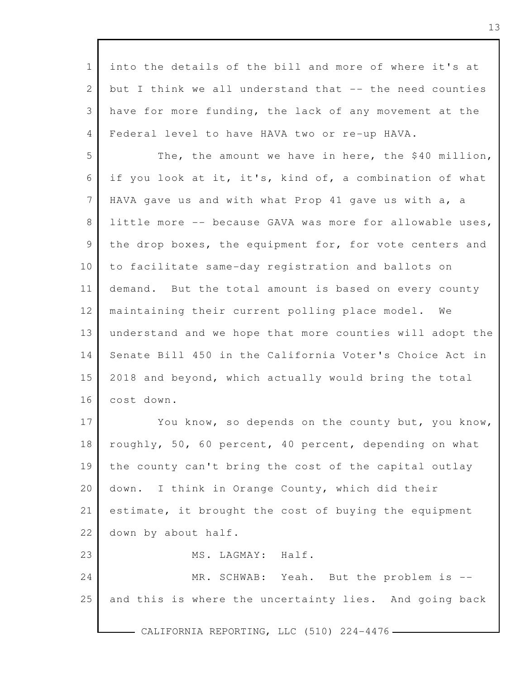1 2 3 4 5 6 7 8 9 10 11 12 13 14 15 16 17 18 19 20 21 22 23 24 25 - CALIFORNIA REPORTING, LLC (510) 224-4476 into the details of the bill and more of where it's at but I think we all understand that -- the need counties have for more funding, the lack of any movement at the Federal level to have HAVA two or re-up HAVA. The, the amount we have in here, the \$40 million, if you look at it, it's, kind of, a combination of what HAVA gave us and with what Prop 41 gave us with a, a little more -- because GAVA was more for allowable uses, the drop boxes, the equipment for, for vote centers and to facilitate same-day registration and ballots on demand. But the total amount is based on every county maintaining their current polling place model. We understand and we hope that more counties will adopt the Senate Bill 450 in the California Voter's Choice Act in 2018 and beyond, which actually would bring the total cost down. You know, so depends on the county but, you know, roughly, 50, 60 percent, 40 percent, depending on what the county can't bring the cost of the capital outlay down. I think in Orange County, which did their estimate, it brought the cost of buying the equipment down by about half. MS. LAGMAY: Half. MR. SCHWAB: Yeah. But the problem is -and this is where the uncertainty lies. And going back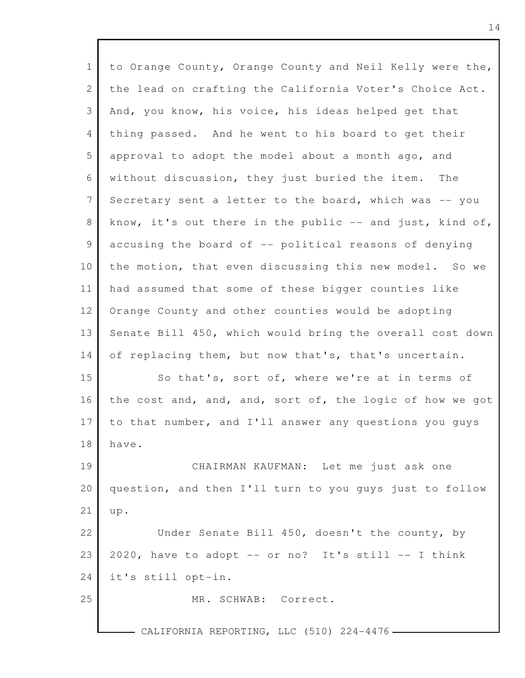| $\mathbf{1}$ | to Orange County, Orange County and Neil Kelly were the, |
|--------------|----------------------------------------------------------|
| 2            | the lead on crafting the California Voter's Choice Act.  |
| 3            | And, you know, his voice, his ideas helped get that      |
| 4            | thing passed. And he went to his board to get their      |
| 5            | approval to adopt the model about a month ago, and       |
| 6            | without discussion, they just buried the item.<br>The    |
| 7            | Secretary sent a letter to the board, which was -- you   |
| 8            | know, it's out there in the public -- and just, kind of, |
| 9            | accusing the board of -- political reasons of denying    |
| 10           | the motion, that even discussing this new model. So we   |
| 11           | had assumed that some of these bigger counties like      |
| 12           | Orange County and other counties would be adopting       |
| 13           | Senate Bill 450, which would bring the overall cost down |
| 14           | of replacing them, but now that's, that's uncertain.     |
| 15           | So that's, sort of, where we're at in terms of           |
| 16           | the cost and, and, and, sort of, the logic of how we got |
| 17           | to that number, and I'll answer any questions you quys   |
| 18           | have.                                                    |
| 19           | CHAIRMAN KAUFMAN: Let me just ask one                    |
| 20           | question, and then I'll turn to you guys just to follow  |
| 21           | up.                                                      |
| 22           | Under Senate Bill 450, doesn't the county, by            |
| 23           | 2020, have to adopt -- or no? It's still -- I think      |
| 24           | it's still opt-in.                                       |
| 25           | MR. SCHWAB: Correct.                                     |
|              | CALIFORNIA REPORTING, LLC (510) 224-4476 -               |

Г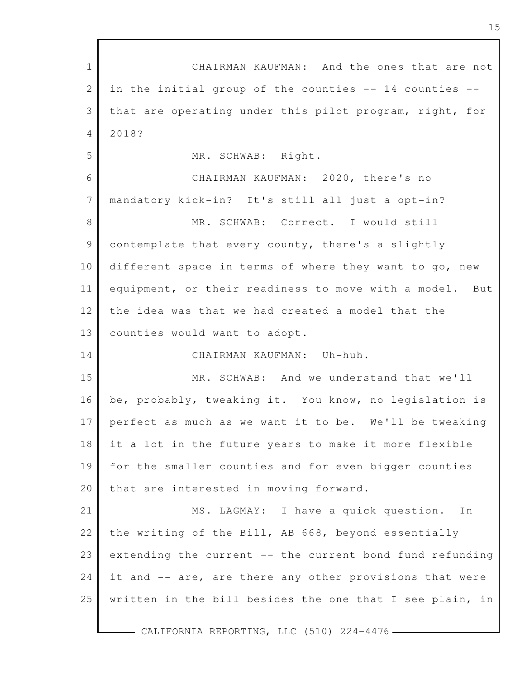| $\mathbf{1}$    | CHAIRMAN KAUFMAN: And the ones that are not              |
|-----------------|----------------------------------------------------------|
| $\mathbf{2}$    | in the initial group of the counties -- 14 counties --   |
| 3               | that are operating under this pilot program, right, for  |
| 4               | 2018?                                                    |
| 5               | MR. SCHWAB: Right.                                       |
| 6               | CHAIRMAN KAUFMAN: 2020, there's no                       |
| $7\phantom{.0}$ | mandatory kick-in? It's still all just a opt-in?         |
| 8               | MR. SCHWAB: Correct. I would still                       |
| $\mathcal{G}$   | contemplate that every county, there's a slightly        |
| 10              | different space in terms of where they want to go, new   |
| 11              | equipment, or their readiness to move with a model. But  |
| 12              | the idea was that we had created a model that the        |
| 13              | counties would want to adopt.                            |
| 14              | CHAIRMAN KAUFMAN: Uh-huh.                                |
| 15              | MR. SCHWAB: And we understand that we'll                 |
| 16              | be, probably, tweaking it. You know, no legislation is   |
| 17              | perfect as much as we want it to be. We'll be tweaking   |
| 18              | it a lot in the future years to make it more flexible    |
| 19              | for the smaller counties and for even bigger counties    |
| 20              | that are interested in moving forward.                   |
| 21              | MS. LAGMAY: I have a quick question.<br>In               |
| 22              | the writing of the Bill, AB 668, beyond essentially      |
| 23              | extending the current -- the current bond fund refunding |
| 24              | it and -- are, are there any other provisions that were  |
| 25              | written in the bill besides the one that I see plain, in |
|                 |                                                          |

CALIFORNIA REPORTING, LLC (510) 224-4476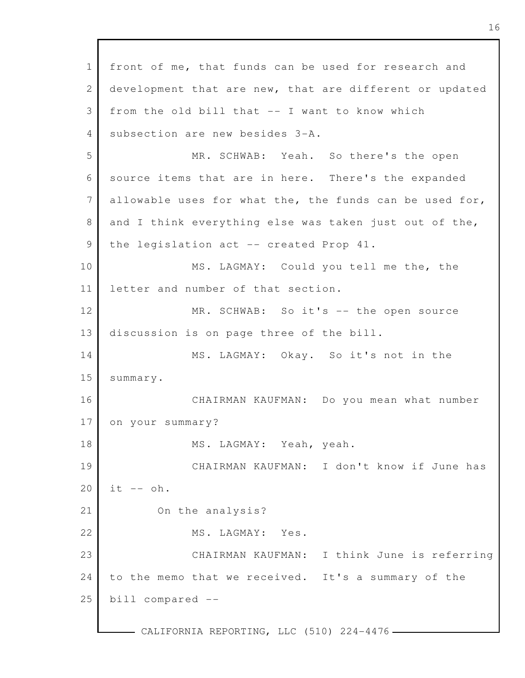1 2 3 4 5 6 7 8 9 10 11 12 13 14 15 16 17 18 19 20 21 22 23 24 25 - CALIFORNIA REPORTING, LLC (510) 224-4476 front of me, that funds can be used for research and development that are new, that are different or updated from the old bill that -- I want to know which subsection are new besides 3-A. MR. SCHWAB: Yeah. So there's the open source items that are in here. There's the expanded allowable uses for what the, the funds can be used for, and I think everything else was taken just out of the, the legislation act -- created Prop 41. MS. LAGMAY: Could you tell me the, the letter and number of that section. MR. SCHWAB: So it's -- the open source discussion is on page three of the bill. MS. LAGMAY: Okay. So it's not in the summary. CHAIRMAN KAUFMAN: Do you mean what number on your summary? MS. LAGMAY: Yeah, yeah. CHAIRMAN KAUFMAN: I don't know if June has  $it$   $- oh.$ On the analysis? MS. LAGMAY: Yes. CHAIRMAN KAUFMAN: I think June is referring to the memo that we received. It's a summary of the bill compared --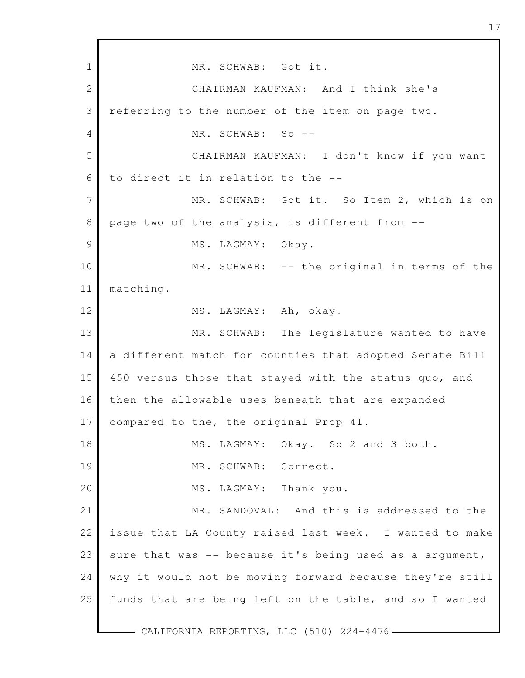1 2 3 4 5 6 7 8 9 10 11 12 13 14 15 16 17 18 19 20 21 22 23 24 25 MR. SCHWAB: Got it. CHAIRMAN KAUFMAN: And I think she's referring to the number of the item on page two. MR. SCHWAB: So -- CHAIRMAN KAUFMAN: I don't know if you want to direct it in relation to the -- MR. SCHWAB: Got it. So Item 2, which is on page two of the analysis, is different from -- MS. LAGMAY: Okay. MR. SCHWAB: -- the original in terms of the matching. MS. LAGMAY: Ah, okay. MR. SCHWAB: The legislature wanted to have a different match for counties that adopted Senate Bill 450 versus those that stayed with the status quo, and then the allowable uses beneath that are expanded compared to the, the original Prop 41. MS. LAGMAY: Okay. So 2 and 3 both. MR. SCHWAB: Correct. MS. LAGMAY: Thank you. MR. SANDOVAL: And this is addressed to the issue that LA County raised last week. I wanted to make sure that was  $-$ - because it's being used as a argument, why it would not be moving forward because they're still funds that are being left on the table, and so I wanted

- CALIFORNIA REPORTING, LLC (510) 224-4476 -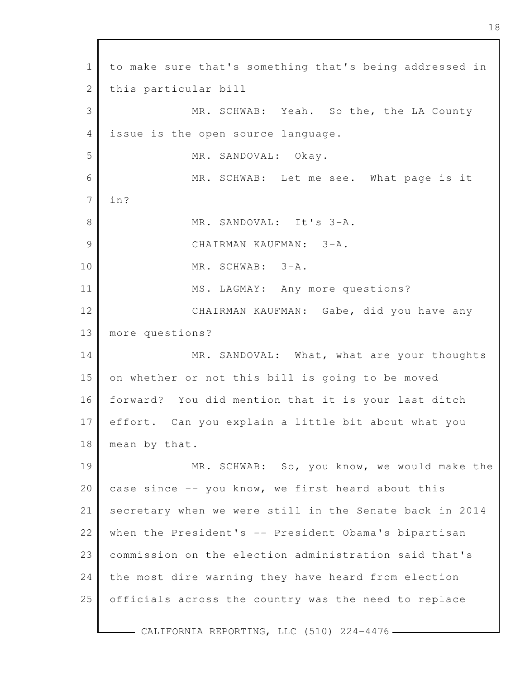1 2 3 4 5 6 7 8 9 10 11 12 13 14 15 16 17 18 19 20 21 22 23 24 25 to make sure that's something that's being addressed in this particular bill MR. SCHWAB: Yeah. So the, the LA County issue is the open source language. MR. SANDOVAL: Okay. MR. SCHWAB: Let me see. What page is it in? MR. SANDOVAL: It's 3-A. CHAIRMAN KAUFMAN: 3-A. MR. SCHWAB: 3-A. MS. LAGMAY: Any more questions? CHAIRMAN KAUFMAN: Gabe, did you have any more questions? MR. SANDOVAL: What, what are your thoughts on whether or not this bill is going to be moved forward? You did mention that it is your last ditch effort. Can you explain a little bit about what you mean by that. MR. SCHWAB: So, you know, we would make the case since -- you know, we first heard about this secretary when we were still in the Senate back in 2014 when the President's -- President Obama's bipartisan commission on the election administration said that's the most dire warning they have heard from election officials across the country was the need to replace

- CALIFORNIA REPORTING, LLC (510) 224-4476 -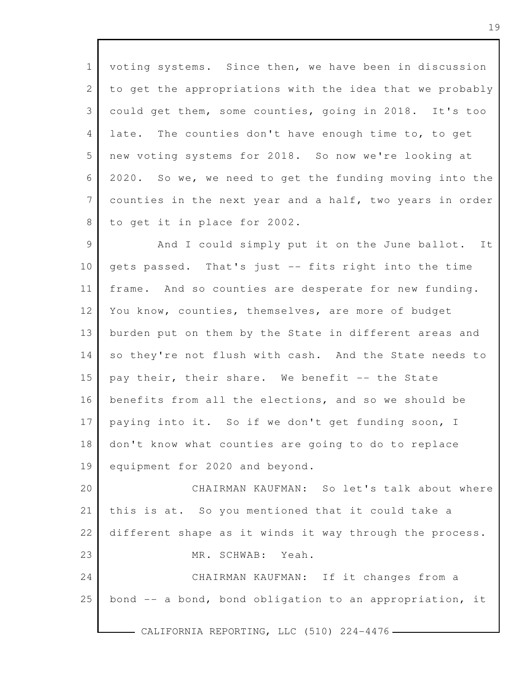1 2 3 4 5 6 7 8 voting systems. Since then, we have been in discussion to get the appropriations with the idea that we probably could get them, some counties, going in 2018. It's too late. The counties don't have enough time to, to get new voting systems for 2018. So now we're looking at 2020. So we, we need to get the funding moving into the counties in the next year and a half, two years in order to get it in place for 2002.

9 10 11 12 13 14 15 16 17 18 19 And I could simply put it on the June ballot. It gets passed. That's just -- fits right into the time frame. And so counties are desperate for new funding. You know, counties, themselves, are more of budget burden put on them by the State in different areas and so they're not flush with cash. And the State needs to pay their, their share. We benefit -- the State benefits from all the elections, and so we should be paying into it. So if we don't get funding soon, I don't know what counties are going to do to replace equipment for 2020 and beyond.

20 21 22 23 CHAIRMAN KAUFMAN: So let's talk about where this is at. So you mentioned that it could take a different shape as it winds it way through the process. MR. SCHWAB: Yeah.

24 25 CHAIRMAN KAUFMAN: If it changes from a bond -- a bond, bond obligation to an appropriation, it

CALIFORNIA REPORTING, LLC (510) 224-4476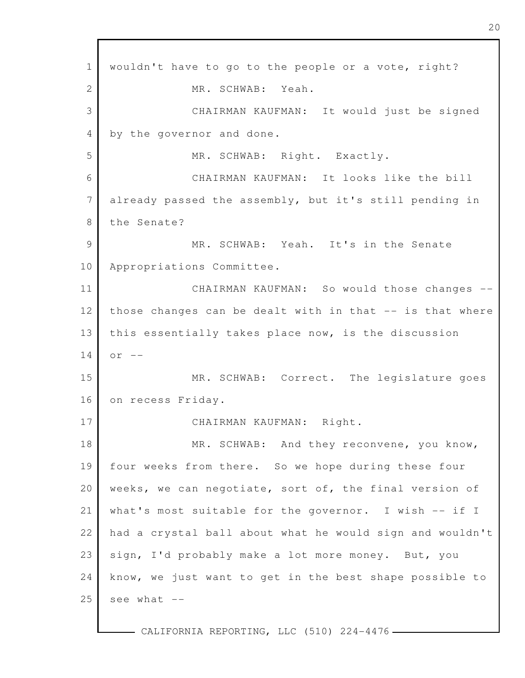1 2 3 4 5 6 7 8 9 10 11 12 13 14 15 16 17 18 19 20 21 22 23 24 25 wouldn't have to go to the people or a vote, right? MR. SCHWAB: Yeah. CHAIRMAN KAUFMAN: It would just be signed by the governor and done. MR. SCHWAB: Right. Exactly. CHAIRMAN KAUFMAN: It looks like the bill already passed the assembly, but it's still pending in the Senate? MR. SCHWAB: Yeah. It's in the Senate Appropriations Committee. CHAIRMAN KAUFMAN: So would those changes - those changes can be dealt with in that -- is that where this essentially takes place now, is the discussion  $or$   $--$ MR. SCHWAB: Correct. The legislature goes on recess Friday. CHAIRMAN KAUFMAN: Right. MR. SCHWAB: And they reconvene, you know, four weeks from there. So we hope during these four weeks, we can negotiate, sort of, the final version of what's most suitable for the governor. I wish -- if I had a crystal ball about what he would sign and wouldn't sign, I'd probably make a lot more money. But, you know, we just want to get in the best shape possible to see what --

- CALIFORNIA REPORTING, LLC (510) 224-4476 -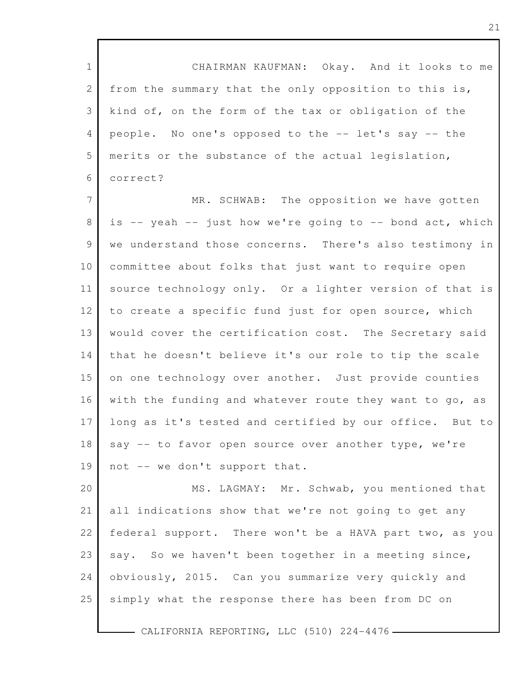1 2 3 4 5 6 7 CHAIRMAN KAUFMAN: Okay. And it looks to me from the summary that the only opposition to this is, kind of, on the form of the tax or obligation of the people. No one's opposed to the -- let's say -- the merits or the substance of the actual legislation, correct? MR. SCHWAB: The opposition we have gotten

8 9 10 11 12 13 14 15 16 17 18 19 is  $-$  yeah  $-$  just how we're going to  $-$  bond act, which we understand those concerns. There's also testimony in committee about folks that just want to require open source technology only. Or a lighter version of that is to create a specific fund just for open source, which would cover the certification cost. The Secretary said that he doesn't believe it's our role to tip the scale on one technology over another. Just provide counties with the funding and whatever route they want to go, as long as it's tested and certified by our office. But to say -- to favor open source over another type, we're not -- we don't support that.

20 21 22 23 24 25 MS. LAGMAY: Mr. Schwab, you mentioned that all indications show that we're not going to get any federal support. There won't be a HAVA part two, as you say. So we haven't been together in a meeting since, obviously, 2015. Can you summarize very quickly and simply what the response there has been from DC on

- CALIFORNIA REPORTING, LLC (510) 224-4476 -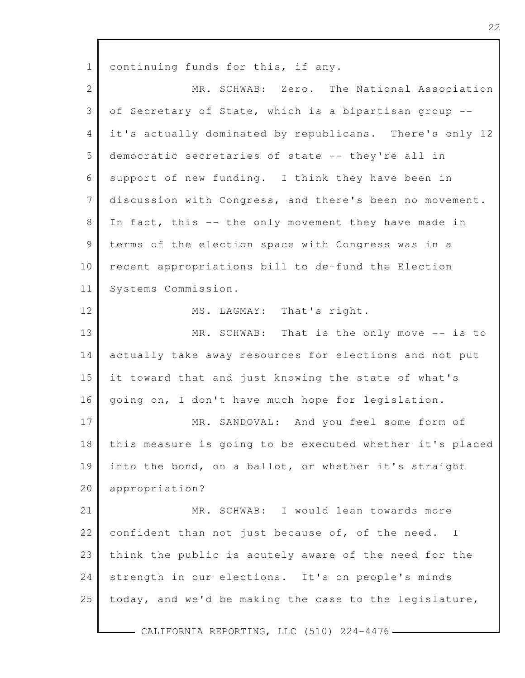1 2 3 4 5 6 7 8 9 10 11 12 13 14 15 16 17 18 19 20 21 22 23 24 25 continuing funds for this, if any. MR. SCHWAB: Zero. The National Association of Secretary of State, which is a bipartisan group - it's actually dominated by republicans. There's only 12 democratic secretaries of state -- they're all in support of new funding. I think they have been in discussion with Congress, and there's been no movement. In fact, this -- the only movement they have made in terms of the election space with Congress was in a recent appropriations bill to de-fund the Election Systems Commission. MS. LAGMAY: That's right. MR. SCHWAB: That is the only move -- is to actually take away resources for elections and not put it toward that and just knowing the state of what's going on, I don't have much hope for legislation. MR. SANDOVAL: And you feel some form of this measure is going to be executed whether it's placed into the bond, on a ballot, or whether it's straight appropriation? MR. SCHWAB: I would lean towards more confident than not just because of, of the need. I think the public is acutely aware of the need for the strength in our elections. It's on people's minds today, and we'd be making the case to the legislature,

- CALIFORNIA REPORTING, LLC (510) 224-4476 -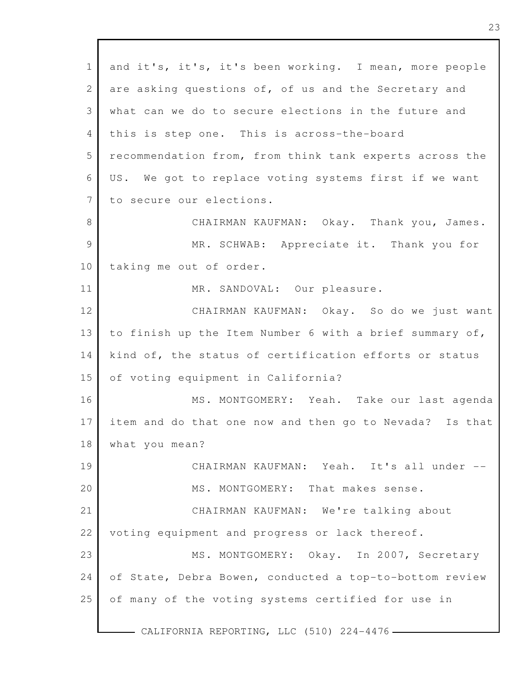| $\mathbf{1}$   | and it's, it's, it's been working. I mean, more people  |
|----------------|---------------------------------------------------------|
| $\mathbf{2}$   | are asking questions of, of us and the Secretary and    |
| 3              | what can we do to secure elections in the future and    |
| $\overline{4}$ | this is step one. This is across-the-board              |
| 5              | recommendation from, from think tank experts across the |
| 6              | US. We got to replace voting systems first if we want   |
| $7\phantom{.}$ | to secure our elections.                                |
| $8\,$          | CHAIRMAN KAUFMAN: Okay. Thank you, James.               |
| 9              | MR. SCHWAB: Appreciate it. Thank you for                |
| 10             | taking me out of order.                                 |
| 11             | MR. SANDOVAL: Our pleasure.                             |
| 12             | CHAIRMAN KAUFMAN: Okay. So do we just want              |
| 13             | to finish up the Item Number 6 with a brief summary of, |
| 14             | kind of, the status of certification efforts or status  |
| 15             | of voting equipment in California?                      |
| 16             | MS. MONTGOMERY: Yeah. Take our last agenda              |
| 17             | item and do that one now and then go to Nevada? Is that |
| 18             | what you mean?                                          |
| 19             | CHAIRMAN KAUFMAN: Yeah. It's all under --               |
| 20             | MS. MONTGOMERY: That makes sense.                       |
| 21             | CHAIRMAN KAUFMAN: We're talking about                   |
| 22             | voting equipment and progress or lack thereof.          |
| 23             | MS. MONTGOMERY: Okay. In 2007, Secretary                |
| 24             | of State, Debra Bowen, conducted a top-to-bottom review |
| 25             | of many of the voting systems certified for use in      |
|                | CALIFORNIA REPORTING, LLC (510) 224-4476 -              |

Г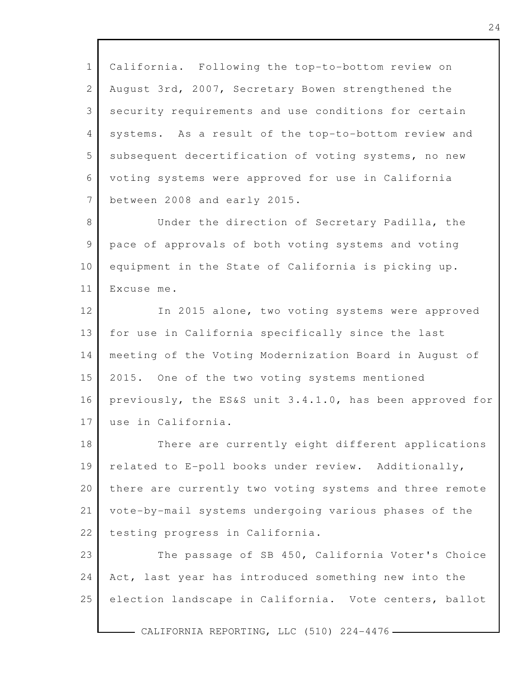1 2 3 4 5 6 7 California. Following the top-to-bottom review on August 3rd, 2007, Secretary Bowen strengthened the security requirements and use conditions for certain systems. As a result of the top-to-bottom review and subsequent decertification of voting systems, no new voting systems were approved for use in California between 2008 and early 2015.

8 9 10 11 Under the direction of Secretary Padilla, the pace of approvals of both voting systems and voting equipment in the State of California is picking up. Excuse me.

12 13 14 15 16 17 In 2015 alone, two voting systems were approved for use in California specifically since the last meeting of the Voting Modernization Board in August of 2015. One of the two voting systems mentioned previously, the ES&S unit 3.4.1.0, has been approved for use in California.

18 19 20 21 22 There are currently eight different applications related to E-poll books under review. Additionally, there are currently two voting systems and three remote vote-by-mail systems undergoing various phases of the testing progress in California.

23 24 25 The passage of SB 450, California Voter's Choice Act, last year has introduced something new into the election landscape in California. Vote centers, ballot

- CALIFORNIA REPORTING, LLC (510) 224-4476-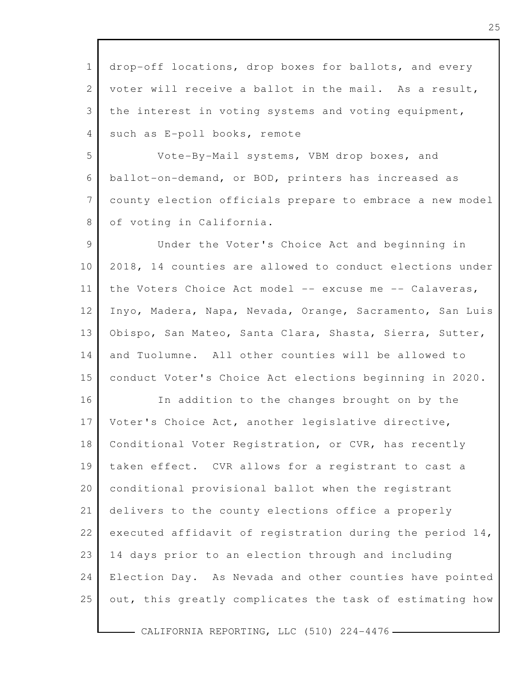1 2 3 4 drop-off locations, drop boxes for ballots, and every voter will receive a ballot in the mail. As a result, the interest in voting systems and voting equipment, such as E-poll books, remote

5 6 7 8 Vote-By-Mail systems, VBM drop boxes, and ballot-on-demand, or BOD, printers has increased as county election officials prepare to embrace a new model of voting in California.

9 10 11 12 13 14 15 Under the Voter's Choice Act and beginning in 2018, 14 counties are allowed to conduct elections under the Voters Choice Act model -- excuse me -- Calaveras, Inyo, Madera, Napa, Nevada, Orange, Sacramento, San Luis Obispo, San Mateo, Santa Clara, Shasta, Sierra, Sutter, and Tuolumne. All other counties will be allowed to conduct Voter's Choice Act elections beginning in 2020.

16 17 18 19 20 21 22 23 24 25 In addition to the changes brought on by the Voter's Choice Act, another legislative directive, Conditional Voter Registration, or CVR, has recently taken effect. CVR allows for a registrant to cast a conditional provisional ballot when the registrant delivers to the county elections office a properly executed affidavit of registration during the period 14, 14 days prior to an election through and including Election Day. As Nevada and other counties have pointed out, this greatly complicates the task of estimating how

- CALIFORNIA REPORTING, LLC (510) 224-4476-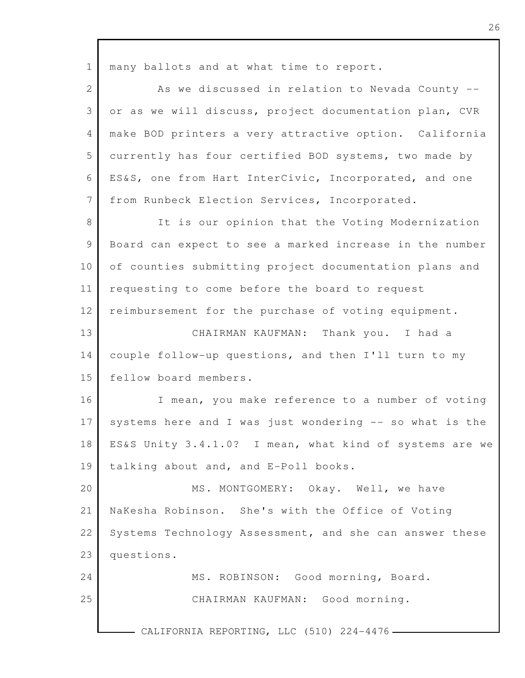1 2 3 4 5 6 7 8 9 10 11 12 13 14 15 16 17 18 19 20 21 22 23 24 25 CALIFORNIA REPORTING, LLC (510) 224-4476. many ballots and at what time to report. As we discussed in relation to Nevada County - or as we will discuss, project documentation plan, CVR make BOD printers a very attractive option. California currently has four certified BOD systems, two made by ES&S, one from Hart InterCivic, Incorporated, and one from Runbeck Election Services, Incorporated. It is our opinion that the Voting Modernization Board can expect to see a marked increase in the number of counties submitting project documentation plans and requesting to come before the board to request reimbursement for the purchase of voting equipment. CHAIRMAN KAUFMAN: Thank you. I had a couple follow-up questions, and then I'll turn to my fellow board members. I mean, you make reference to a number of voting systems here and I was just wondering -- so what is the ES&S Unity 3.4.1.0? I mean, what kind of systems are we talking about and, and E-Poll books. MS. MONTGOMERY: Okay. Well, we have NaKesha Robinson. She's with the Office of Voting Systems Technology Assessment, and she can answer these questions. MS. ROBINSON: Good morning, Board. CHAIRMAN KAUFMAN: Good morning.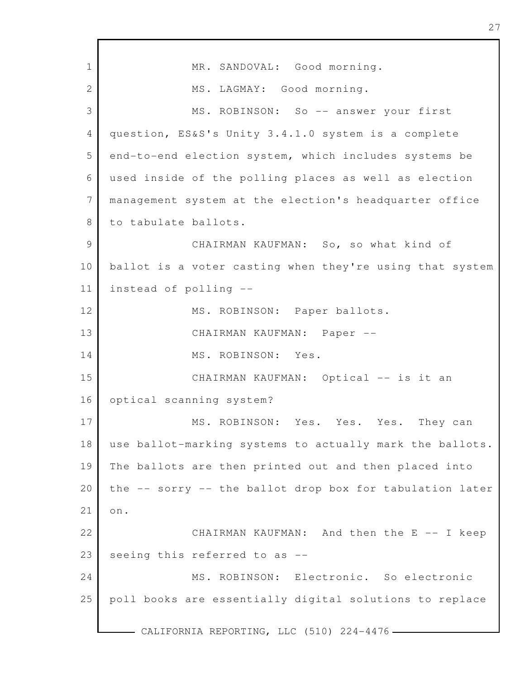| $\mathbf 1$    | MR. SANDOVAL: Good morning.                              |
|----------------|----------------------------------------------------------|
| 2              | MS. LAGMAY: Good morning.                                |
| 3              | MS. ROBINSON: So -- answer your first                    |
| 4              | question, ES&S's Unity 3.4.1.0 system is a complete      |
| 5              | end-to-end election system, which includes systems be    |
| 6              | used inside of the polling places as well as election    |
| $\overline{7}$ | management system at the election's headquarter office   |
| 8              | to tabulate ballots.                                     |
| $\mathcal{G}$  | CHAIRMAN KAUFMAN: So, so what kind of                    |
| 10             | ballot is a voter casting when they're using that system |
| 11             | instead of polling --                                    |
| 12             | MS. ROBINSON: Paper ballots.                             |
| 13             | CHAIRMAN KAUFMAN: Paper --                               |
| 14             | MS. ROBINSON: Yes.                                       |
| 15             | CHAIRMAN KAUFMAN: Optical -- is it an                    |
| 16             | optical scanning system?                                 |
| 17             | MS. ROBINSON: Yes. Yes. Yes. They can                    |
| 18             | use ballot-marking systems to actually mark the ballots. |
| 19             | The ballots are then printed out and then placed into    |
| 20             | the -- sorry -- the ballot drop box for tabulation later |
| 21             | on.                                                      |
| 22             | CHAIRMAN KAUFMAN: And then the E -- I keep               |
| 23             | seeing this referred to as --                            |
| 24             | MS. ROBINSON: Electronic. So electronic                  |
| 25             | poll books are essentially digital solutions to replace  |
|                | CALIFORNIA REPORTING, LLC (510) 224-4476 -               |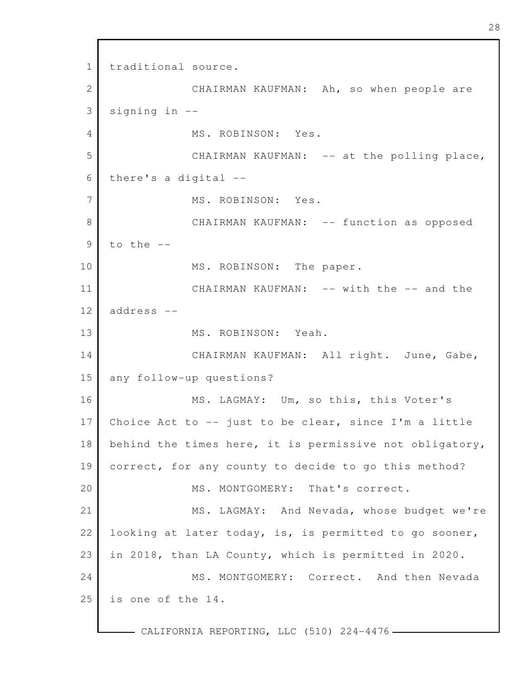1 2 3 4 5 6 7 8 9 10 11 12 13 14 15 16 17 18 19 20 21 22 23 24 25 traditional source. CHAIRMAN KAUFMAN: Ah, so when people are signing in -- MS. ROBINSON: Yes. CHAIRMAN KAUFMAN: -- at the polling place, there's a digital -- MS. ROBINSON: Yes. CHAIRMAN KAUFMAN: -- function as opposed to the  $-$ MS. ROBINSON: The paper. CHAIRMAN KAUFMAN: -- with the -- and the address -- MS. ROBINSON: Yeah. CHAIRMAN KAUFMAN: All right. June, Gabe, any follow-up questions? MS. LAGMAY: Um, so this, this Voter's Choice Act to  $-$ - just to be clear, since I'm a little behind the times here, it is permissive not obligatory, correct, for any county to decide to go this method? MS. MONTGOMERY: That's correct. MS. LAGMAY: And Nevada, whose budget we're looking at later today, is, is permitted to go sooner, in 2018, than LA County, which is permitted in 2020. MS. MONTGOMERY: Correct. And then Nevada is one of the 14.

- CALIFORNIA REPORTING, LLC (510) 224-4476 -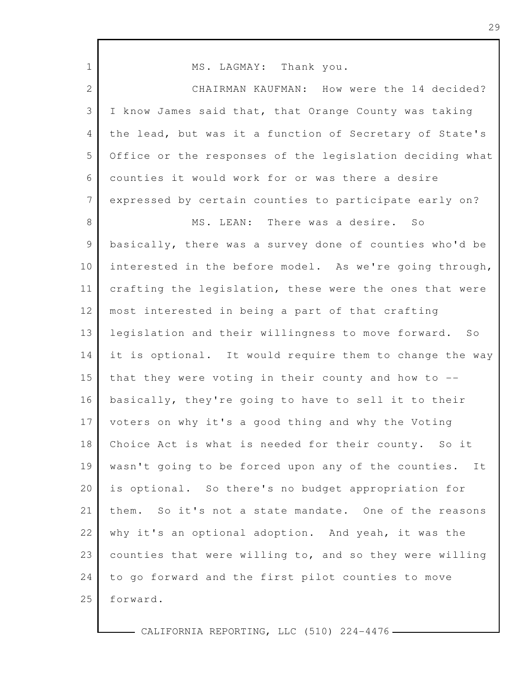| $\mathbf 1$     | MS. LAGMAY: Thank you.                                   |
|-----------------|----------------------------------------------------------|
| $\overline{2}$  | CHAIRMAN KAUFMAN: How were the 14 decided?               |
| 3               | I know James said that, that Orange County was taking    |
| $\overline{4}$  | the lead, but was it a function of Secretary of State's  |
| 5               | Office or the responses of the legislation deciding what |
| 6               | counties it would work for or was there a desire         |
| $7\phantom{.0}$ | expressed by certain counties to participate early on?   |
| 8               | MS. LEAN: There was a desire. So                         |
| $\mathcal{G}$   | basically, there was a survey done of counties who'd be  |
| 10              | interested in the before model. As we're going through,  |
| 11              | crafting the legislation, these were the ones that were  |
| 12              | most interested in being a part of that crafting         |
| 13              | legislation and their willingness to move forward. So    |
| 14              | it is optional. It would require them to change the way  |
| 15              | that they were voting in their county and how to --      |
| 16              | basically, they're going to have to sell it to their     |
| 17              | voters on why it's a good thing and why the Voting       |
| 18              | Choice Act is what is needed for their county. So it     |
| 19              | wasn't going to be forced upon any of the counties. It   |
| 20              | is optional. So there's no budget appropriation for      |
| 21              | them. So it's not a state mandate. One of the reasons    |
| 22              | why it's an optional adoption. And yeah, it was the      |
| 23              | counties that were willing to, and so they were willing  |
| 24              | to go forward and the first pilot counties to move       |
| 25              | forward.                                                 |
|                 |                                                          |

Г

 $-$  CALIFORNIA REPORTING, LLC (510) 224-4476  $-$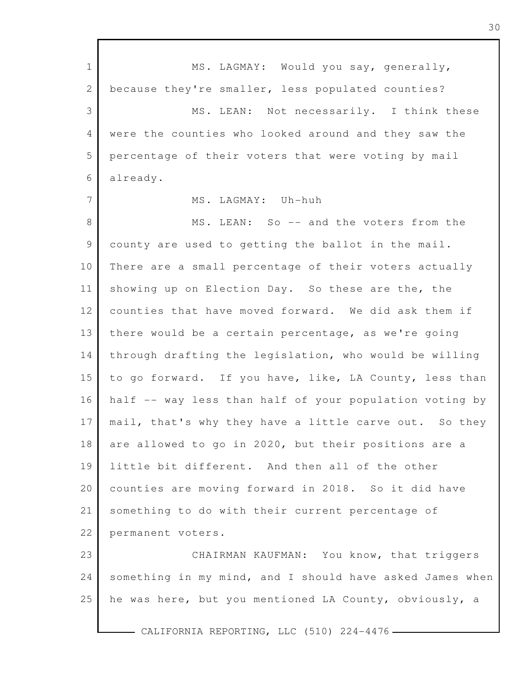1 2 3 4 5 6 7 8 9 10 11 12 13 14 15 16 17 18 19 20 21 22 23 24 25 - CALIFORNIA REPORTING, LLC (510) 224-4476 -MS. LAGMAY: Would you say, generally, because they're smaller, less populated counties? MS. LEAN: Not necessarily. I think these were the counties who looked around and they saw the percentage of their voters that were voting by mail already. MS. LAGMAY: Uh-huh MS. LEAN: So -- and the voters from the county are used to getting the ballot in the mail. There are a small percentage of their voters actually showing up on Election Day. So these are the, the counties that have moved forward. We did ask them if there would be a certain percentage, as we're going through drafting the legislation, who would be willing to go forward. If you have, like, LA County, less than half -- way less than half of your population voting by mail, that's why they have a little carve out. So they are allowed to go in 2020, but their positions are a little bit different. And then all of the other counties are moving forward in 2018. So it did have something to do with their current percentage of permanent voters. CHAIRMAN KAUFMAN: You know, that triggers something in my mind, and I should have asked James when he was here, but you mentioned LA County, obviously, a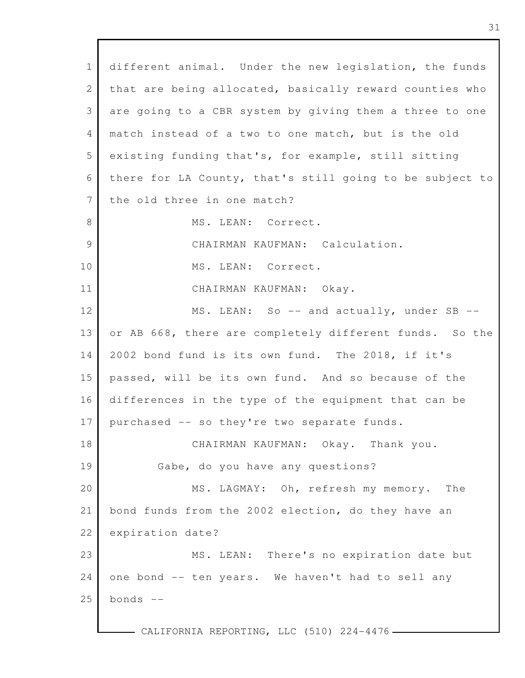| $\mathbf{1}$    | different animal. Under the new legislation, the funds   |
|-----------------|----------------------------------------------------------|
| $\mathbf{2}$    | that are being allocated, basically reward counties who  |
| 3               | are going to a CBR system by giving them a three to one  |
| 4               | match instead of a two to one match, but is the old      |
| 5               | existing funding that's, for example, still sitting      |
| 6               | there for LA County, that's still going to be subject to |
| $7\phantom{.0}$ | the old three in one match?                              |
| 8               | MS. LEAN: Correct.                                       |
| $\mathcal{G}$   | CHAIRMAN KAUFMAN: Calculation.                           |
| 10              | MS. LEAN: Correct.                                       |
| 11              | CHAIRMAN KAUFMAN: Okay.                                  |
| 12              | MS. LEAN: So -- and actually, under SB --                |
| 13              | or AB 668, there are completely different funds. So the  |
| 14              | 2002 bond fund is its own fund. The 2018, if it's        |
| 15              | passed, will be its own fund. And so because of the      |
| 16              | differences in the type of the equipment that can be     |
| 17              | purchased -- so they're two separate funds.              |
| 18              | CHAIRMAN KAUFMAN: Okay. Thank you.                       |
| 19              | Gabe, do you have any questions?                         |
| 20              | MS. LAGMAY: Oh, refresh my memory. The                   |
| 21              | bond funds from the 2002 election, do they have an       |
| 22              | expiration date?                                         |
| 23              | MS. LEAN:<br>There's no expiration date but              |
| 24              | one bond -- ten years. We haven't had to sell any        |
| 25              | bonds $--$                                               |
|                 |                                                          |

 $\overline{\Gamma}$ 

CALIFORNIA REPORTING, LLC (510) 224-4476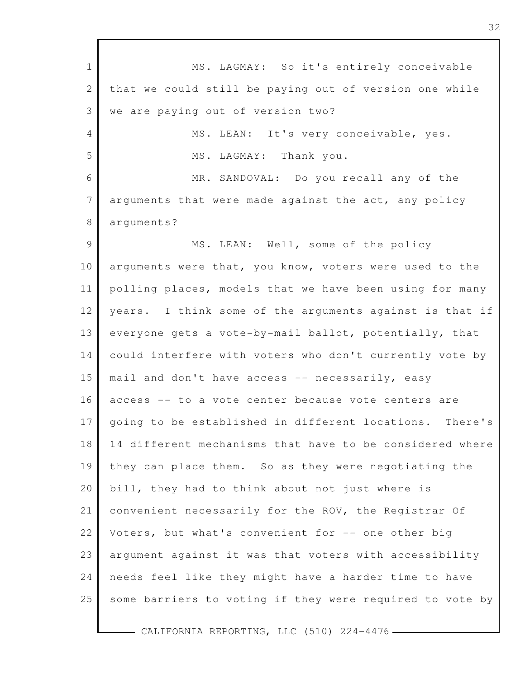1 2 3 4 5 6 7 8 9 10 11 12 13 14 15 16 17 18 19 20 21 22 23 24 25 MS. LAGMAY: So it's entirely conceivable that we could still be paying out of version one while we are paying out of version two? MS. LEAN: It's very conceivable, yes. MS. LAGMAY: Thank you. MR. SANDOVAL: Do you recall any of the arguments that were made against the act, any policy arguments? MS. LEAN: Well, some of the policy arguments were that, you know, voters were used to the polling places, models that we have been using for many years. I think some of the arguments against is that if everyone gets a vote-by-mail ballot, potentially, that could interfere with voters who don't currently vote by mail and don't have access -- necessarily, easy access -- to a vote center because vote centers are going to be established in different locations. There's 14 different mechanisms that have to be considered where they can place them. So as they were negotiating the bill, they had to think about not just where is convenient necessarily for the ROV, the Registrar Of Voters, but what's convenient for -- one other big argument against it was that voters with accessibility needs feel like they might have a harder time to have some barriers to voting if they were required to vote by

- CALIFORNIA REPORTING, LLC (510) 224-4476 -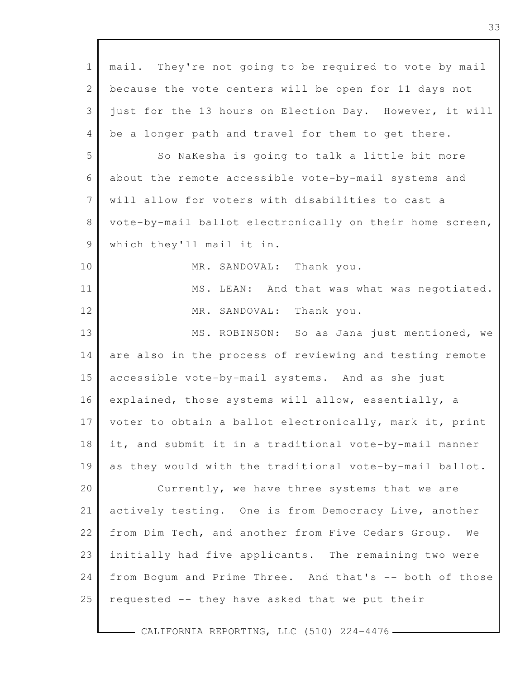| $\mathbf 1$     | mail. They're not going to be required to vote by mail   |
|-----------------|----------------------------------------------------------|
| 2               | because the vote centers will be open for 11 days not    |
| 3               | just for the 13 hours on Election Day. However, it will  |
| 4               | be a longer path and travel for them to get there.       |
| 5               | So NaKesha is going to talk a little bit more            |
| 6               | about the remote accessible vote-by-mail systems and     |
| $7\phantom{.0}$ | will allow for voters with disabilities to cast a        |
| 8               | vote-by-mail ballot electronically on their home screen, |
| 9               | which they'll mail it in.                                |
| 10              | MR. SANDOVAL: Thank you.                                 |
| 11              | MS. LEAN: And that was what was negotiated.              |
| 12              | Thank you.<br>MR. SANDOVAL:                              |
| 13              | MS. ROBINSON: So as Jana just mentioned, we              |
| 14              | are also in the process of reviewing and testing remote  |
| 15              | accessible vote-by-mail systems. And as she just         |
| 16              | explained, those systems will allow, essentially, a      |
| 17              | voter to obtain a ballot electronically, mark it, print  |
| 18              | it, and submit it in a traditional vote-by-mail manner   |
| 19              | as they would with the traditional vote-by-mail ballot.  |
| 20              | Currently, we have three systems that we are             |
| 21              | actively testing. One is from Democracy Live, another    |
| 22              | from Dim Tech, and another from Five Cedars Group.<br>We |
| 23              | initially had five applicants. The remaining two were    |
| 24              | from Boqum and Prime Three. And that's -- both of those  |
| 25              | requested -- they have asked that we put their           |
|                 |                                                          |

Г

CALIFORNIA REPORTING, LLC (510) 224-4476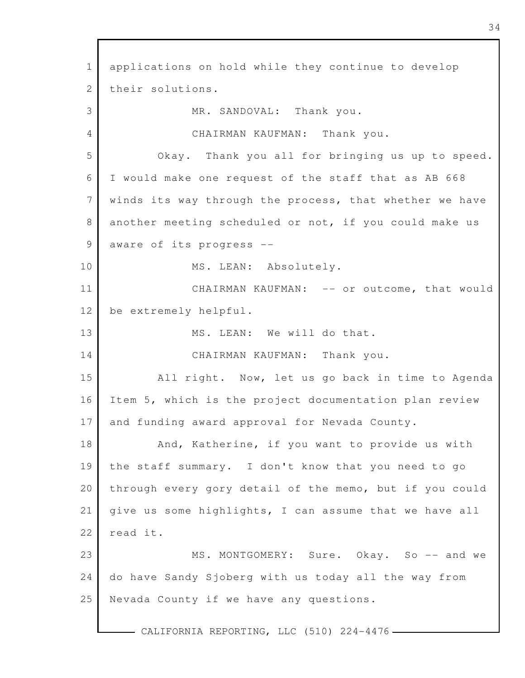1 2 3 4 5 6 7 8 9 10 11 12 13 14 15 16 17 18 19 20 21 22 23 24 25 - CALIFORNIA REPORTING, LLC (510) 224-4476 applications on hold while they continue to develop their solutions. MR. SANDOVAL: Thank you. CHAIRMAN KAUFMAN: Thank you. Okay. Thank you all for bringing us up to speed. I would make one request of the staff that as AB 668 winds its way through the process, that whether we have another meeting scheduled or not, if you could make us aware of its progress -- MS. LEAN: Absolutely. CHAIRMAN KAUFMAN: -- or outcome, that would be extremely helpful. MS. LEAN: We will do that. CHAIRMAN KAUFMAN: Thank you. All right. Now, let us go back in time to Agenda Item 5, which is the project documentation plan review and funding award approval for Nevada County. And, Katherine, if you want to provide us with the staff summary. I don't know that you need to go through every gory detail of the memo, but if you could give us some highlights, I can assume that we have all read it. MS. MONTGOMERY: Sure. Okay. So -- and we do have Sandy Sjoberg with us today all the way from Nevada County if we have any questions.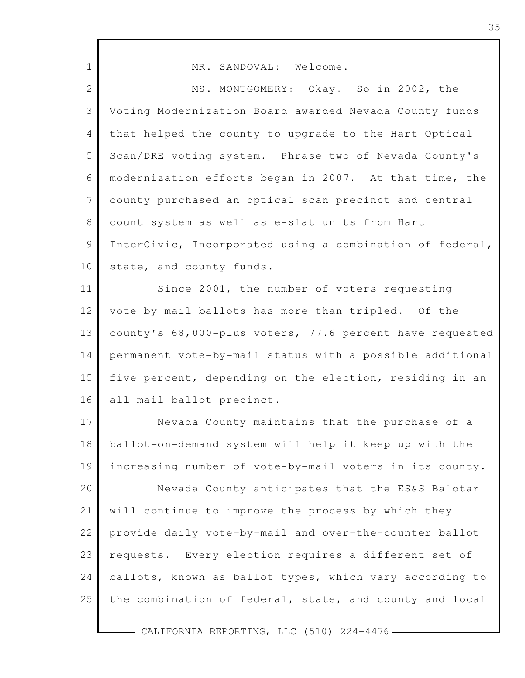| $\mathbf 1$     | MR. SANDOVAL: Welcome.                                   |
|-----------------|----------------------------------------------------------|
| $\mathbf{2}$    | MS. MONTGOMERY: Okay. So in 2002, the                    |
| 3               | Voting Modernization Board awarded Nevada County funds   |
| 4               | that helped the county to upgrade to the Hart Optical    |
| 5               | Scan/DRE voting system. Phrase two of Nevada County's    |
| 6               | modernization efforts began in 2007. At that time, the   |
| $7\phantom{.0}$ | county purchased an optical scan precinct and central    |
| 8               | count system as well as e-slat units from Hart           |
| 9               | InterCivic, Incorporated using a combination of federal, |
| 10              | state, and county funds.                                 |
| 11              | Since 2001, the number of voters requesting              |
| 12              | vote-by-mail ballots has more than tripled. Of the       |
| 13              | county's 68,000-plus voters, 77.6 percent have requested |
| 14              | permanent vote-by-mail status with a possible additional |
| 15              | five percent, depending on the election, residing in an  |
| 16              | all-mail ballot precinct.                                |
| 17              | Nevada County maintains that the purchase of a           |
| 18              | ballot-on-demand system will help it keep up with the    |
| 19              | increasing number of vote-by-mail voters in its county.  |
| 20              | Nevada County anticipates that the ES&S Balotar          |
| 21              | will continue to improve the process by which they       |
| 22              | provide daily vote-by-mail and over-the-counter ballot   |
| 23              | requests. Every election requires a different set of     |
| 24              | ballots, known as ballot types, which vary according to  |
| 25              | the combination of federal, state, and county and local  |
|                 |                                                          |

г

CALIFORNIA REPORTING, LLC (510) 224-4476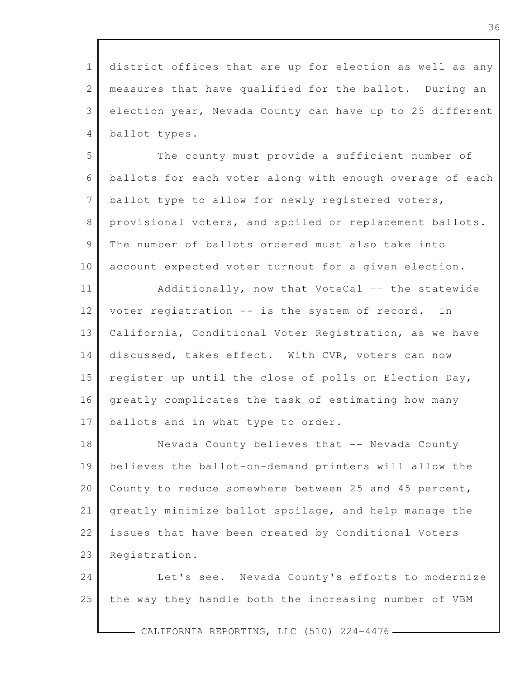1 2 3 4 district offices that are up for election as well as any measures that have qualified for the ballot. During an election year, Nevada County can have up to 25 different ballot types.

5 6 7 8 9 10 The county must provide a sufficient number of ballots for each voter along with enough overage of each ballot type to allow for newly registered voters, provisional voters, and spoiled or replacement ballots. The number of ballots ordered must also take into account expected voter turnout for a given election.

11 12 13 14 15 16 17 Additionally, now that VoteCal -- the statewide voter registration -- is the system of record. In California, Conditional Voter Registration, as we have discussed, takes effect. With CVR, voters can now register up until the close of polls on Election Day, greatly complicates the task of estimating how many ballots and in what type to order.

18 19 20 21 22 23 Nevada County believes that -- Nevada County believes the ballot-on-demand printers will allow the County to reduce somewhere between 25 and 45 percent, greatly minimize ballot spoilage, and help manage the issues that have been created by Conditional Voters Registration.

24 25 Let's see. Nevada County's efforts to modernize the way they handle both the increasing number of VBM

- CALIFORNIA REPORTING, LLC (510) 224-4476 -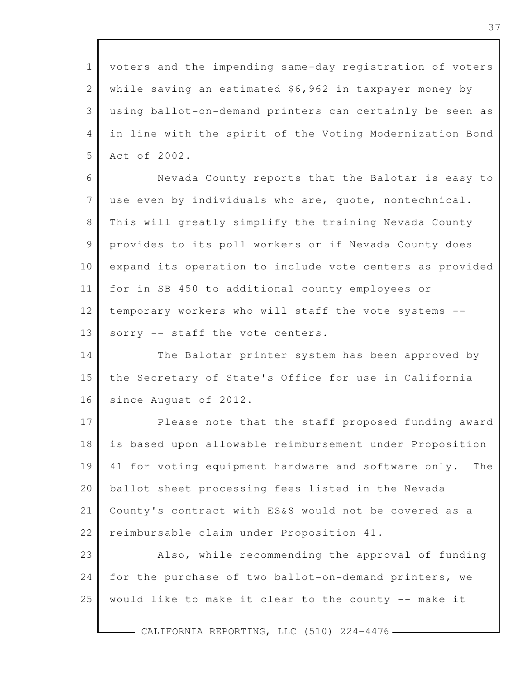1 2 3 4 5 6 7 8 9 10 11 12 13 14 15 16 17 18 19 20 21 22 23 24 25 voters and the impending same-day registration of voters while saving an estimated \$6,962 in taxpayer money by using ballot-on-demand printers can certainly be seen as in line with the spirit of the Voting Modernization Bond Act of 2002. Nevada County reports that the Balotar is easy to use even by individuals who are, quote, nontechnical. This will greatly simplify the training Nevada County provides to its poll workers or if Nevada County does expand its operation to include vote centers as provided for in SB 450 to additional county employees or temporary workers who will staff the vote systems - sorry -- staff the vote centers. The Balotar printer system has been approved by the Secretary of State's Office for use in California since August of 2012. Please note that the staff proposed funding award is based upon allowable reimbursement under Proposition 41 for voting equipment hardware and software only. The ballot sheet processing fees listed in the Nevada County's contract with ES&S would not be covered as a reimbursable claim under Proposition 41. Also, while recommending the approval of funding for the purchase of two ballot-on-demand printers, we would like to make it clear to the county -- make it

CALIFORNIA REPORTING, LLC (510) 224-4476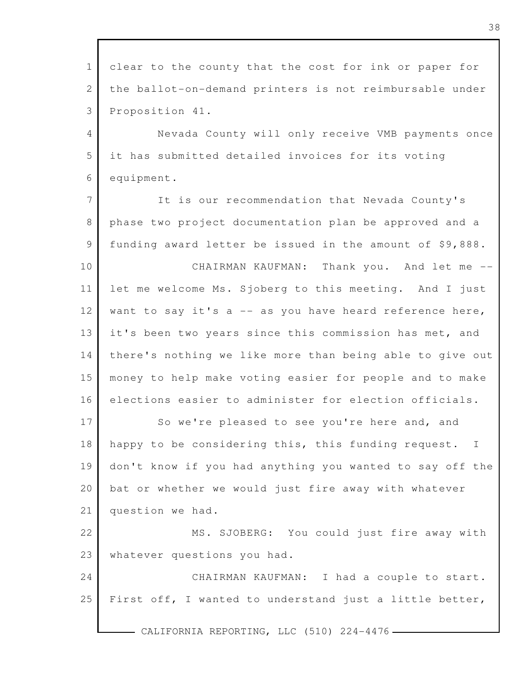| $\mathbf{1}$   | clear to the county that the cost for ink or paper for   |
|----------------|----------------------------------------------------------|
| $\mathbf{2}$   | the ballot-on-demand printers is not reimbursable under  |
| 3              | Proposition 41.                                          |
| $\overline{4}$ | Nevada County will only receive VMB payments once        |
| 5              | it has submitted detailed invoices for its voting        |
| 6              | equipment.                                               |
| $\overline{7}$ | It is our recommendation that Nevada County's            |
| $8\,$          | phase two project documentation plan be approved and a   |
| 9              | funding award letter be issued in the amount of \$9,888. |
| 10             | CHAIRMAN KAUFMAN: Thank you. And let me --               |
| 11             | let me welcome Ms. Sjoberg to this meeting. And I just   |
| 12             | want to say it's a -- as you have heard reference here,  |
| 13             | it's been two years since this commission has met, and   |
| 14             | there's nothing we like more than being able to give out |
| 15             | money to help make voting easier for people and to make  |
| 16             | elections easier to administer for election officials.   |
| 17             | So we're pleased to see you're here and, and             |
| 18             | happy to be considering this, this funding request. I    |
| 19             | don't know if you had anything you wanted to say off the |
| 20             | bat or whether we would just fire away with whatever     |
| 21             | question we had.                                         |
| 22             | MS. SJOBERG: You could just fire away with               |
| 23             | whatever questions you had.                              |
| 24             | CHAIRMAN KAUFMAN: I had a couple to start.               |
| 25             | First off, I wanted to understand just a little better,  |
|                |                                                          |
|                | CALIFORNIA REPORTING, LLC (510) 224-4476 -               |

38

 $\overline{\mathbf{I}}$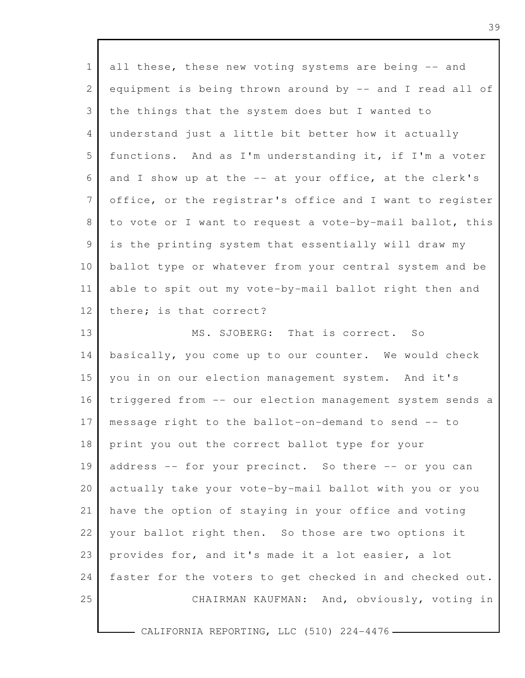| $\mathbf{1}$    | all these, these new voting systems are being -- and     |
|-----------------|----------------------------------------------------------|
| 2               | equipment is being thrown around by -- and I read all of |
| 3               | the things that the system does but I wanted to          |
| $\overline{4}$  | understand just a little bit better how it actually      |
| 5               | functions. And as I'm understanding it, if I'm a voter   |
| 6               | and I show up at the -- at your office, at the clerk's   |
| $7\phantom{.0}$ | office, or the registrar's office and I want to register |
| 8               | to vote or I want to request a vote-by-mail ballot, this |
| 9               | is the printing system that essentially will draw my     |
| 10              | ballot type or whatever from your central system and be  |
| 11              | able to spit out my vote-by-mail ballot right then and   |
| 12              | there; is that correct?                                  |
| 13              | MS. SJOBERG: That is correct. So                         |
| 14              | basically, you come up to our counter. We would check    |
| 15              | you in on our election management system. And it's       |
| 16              | triggered from -- our election management system sends a |
| 17              | message right to the ballot-on-demand to send -- to      |
| 18              | print you out the correct ballot type for your           |
| 19              | address -- for your precinct. So there -- or you can     |
| 20              | actually take your vote-by-mail ballot with you or you   |
| 21              | have the option of staying in your office and voting     |
| 22              | your ballot right then. So those are two options it      |
| 23              | provides for, and it's made it a lot easier, a lot       |
| 24              | faster for the voters to get checked in and checked out. |
| 25              | CHAIRMAN KAUFMAN: And, obviously, voting in              |

 $-$  CALIFORNIA REPORTING, LLC (510) 224-4476  $-$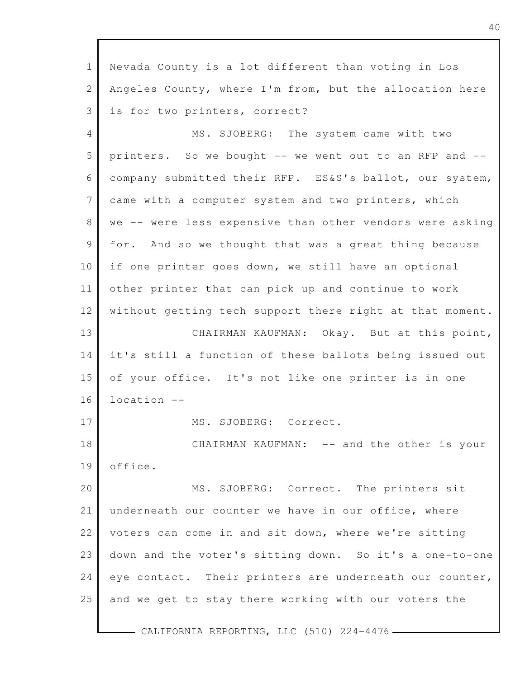1 2 3 4 5 6 7 8 9 10 11 12 13 14 15 16 17 18 19 20 21 22 23 24 25 Nevada County is a lot different than voting in Los Angeles County, where I'm from, but the allocation here is for two printers, correct? MS. SJOBERG: The system came with two printers. So we bought -- we went out to an RFP and - company submitted their RFP. ES&S's ballot, our system, came with a computer system and two printers, which we -- were less expensive than other vendors were asking for. And so we thought that was a great thing because if one printer goes down, we still have an optional other printer that can pick up and continue to work without getting tech support there right at that moment. CHAIRMAN KAUFMAN: Okay. But at this point, it's still a function of these ballots being issued out of your office. It's not like one printer is in one location -- MS. SJOBERG: Correct. CHAIRMAN KAUFMAN: -- and the other is your office. MS. SJOBERG: Correct. The printers sit underneath our counter we have in our office, where voters can come in and sit down, where we're sitting down and the voter's sitting down. So it's a one-to-one eye contact. Their printers are underneath our counter, and we get to stay there working with our voters the

- CALIFORNIA REPORTING, LLC (510) 224-4476 -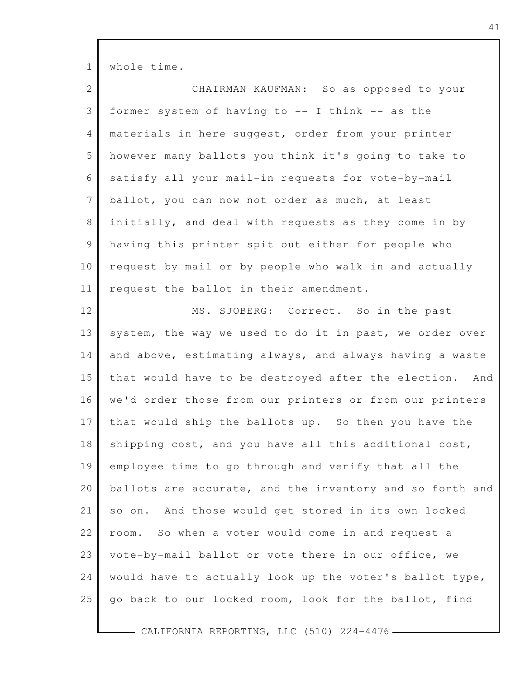1 whole time.

| 2               | CHAIRMAN KAUFMAN: So as opposed to your                  |
|-----------------|----------------------------------------------------------|
| 3               | former system of having to -- I think -- as the          |
| $\overline{4}$  | materials in here suggest, order from your printer       |
| 5               | however many ballots you think it's going to take to     |
| 6               | satisfy all your mail-in requests for vote-by-mail       |
| $7\phantom{.0}$ | ballot, you can now not order as much, at least          |
| $8\,$           | initially, and deal with requests as they come in by     |
| $\mathcal{G}$   | having this printer spit out either for people who       |
| 10              | request by mail or by people who walk in and actually    |
| 11              | request the ballot in their amendment.                   |
| 12              | MS. SJOBERG: Correct. So in the past                     |
| 13              | system, the way we used to do it in past, we order over  |
| 14              | and above, estimating always, and always having a waste  |
| 15              | that would have to be destroyed after the election. And  |
| 16              | we'd order those from our printers or from our printers  |
| 17              | that would ship the ballots up. So then you have the     |
| 18              | shipping cost, and you have all this additional cost,    |
| 19              | employee time to go through and verify that all the      |
| 20              | ballots are accurate, and the inventory and so forth and |
| 21              | so on. And those would get stored in its own locked      |
| 22              | So when a voter would come in and request a<br>room.     |
| 23              | vote-by-mail ballot or vote there in our office, we      |
| 24              | would have to actually look up the voter's ballot type,  |
| 25              | go back to our locked room, look for the ballot, find    |
|                 |                                                          |

 $-$  CALIFORNIA REPORTING, LLC (510) 224-4476  $-$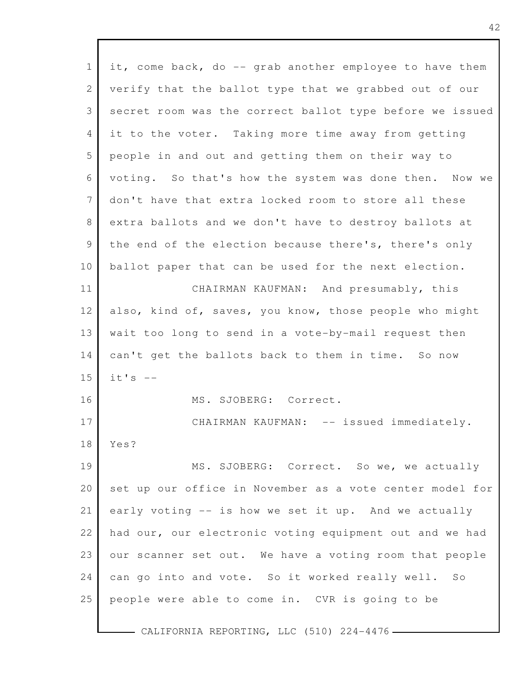| $\mathbf{1}$   | it, come back, do -- grab another employee to have them  |
|----------------|----------------------------------------------------------|
| $\mathbf{2}$   | verify that the ballot type that we grabbed out of our   |
| 3              | secret room was the correct ballot type before we issued |
| 4              | it to the voter. Taking more time away from getting      |
| 5              | people in and out and getting them on their way to       |
| 6              | voting. So that's how the system was done then. Now we   |
| 7              | don't have that extra locked room to store all these     |
| 8              | extra ballots and we don't have to destroy ballots at    |
| $\overline{9}$ | the end of the election because there's, there's only    |
| 10             | ballot paper that can be used for the next election.     |
| 11             | CHAIRMAN KAUFMAN: And presumably, this                   |
| 12             | also, kind of, saves, you know, those people who might   |
| 13             | wait too long to send in a vote-by-mail request then     |
| 14             | can't get the ballots back to them in time. So now       |
| 15             | $it's$ --                                                |
| 16             | MS. SJOBERG: Correct.                                    |
| 17             | CHAIRMAN KAUFMAN: -- issued immediately.                 |
| 18             | Yes?                                                     |
| 19             | MS. SJOBERG: Correct. So we, we actually                 |
| 20             | set up our office in November as a vote center model for |
| 21             | early voting -- is how we set it up. And we actually     |
| 22             | had our, our electronic voting equipment out and we had  |
| 23             | our scanner set out. We have a voting room that people   |
| 24             | can go into and vote. So it worked really well.<br>SO    |
| 25             | people were able to come in. CVR is going to be          |
|                |                                                          |

 $\mathbf{I}$ 

l

CALIFORNIA REPORTING, LLC (510) 224-4476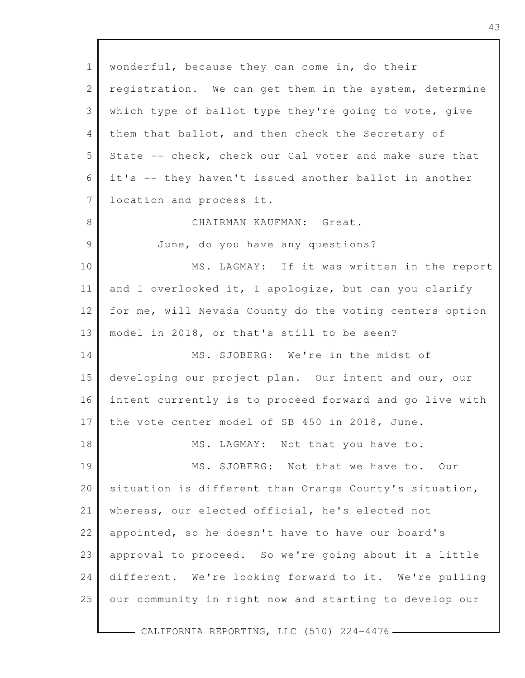1 2 3 4 5 6 7 8 9 10 11 12 13 14 15 16 17 18 19 20 21 22 23 24 25 wonderful, because they can come in, do their registration. We can get them in the system, determine which type of ballot type they're going to vote, give them that ballot, and then check the Secretary of State -- check, check our Cal voter and make sure that it's -- they haven't issued another ballot in another location and process it. CHAIRMAN KAUFMAN: Great. June, do you have any questions? MS. LAGMAY: If it was written in the report and I overlooked it, I apologize, but can you clarify for me, will Nevada County do the voting centers option model in 2018, or that's still to be seen? MS. SJOBERG: We're in the midst of developing our project plan. Our intent and our, our intent currently is to proceed forward and go live with the vote center model of SB 450 in 2018, June. MS. LAGMAY: Not that you have to. MS. SJOBERG: Not that we have to. Our situation is different than Orange County's situation, whereas, our elected official, he's elected not appointed, so he doesn't have to have our board's approval to proceed. So we're going about it a little different. We're looking forward to it. We're pulling our community in right now and starting to develop our

- CALIFORNIA REPORTING, LLC (510) 224-4476 -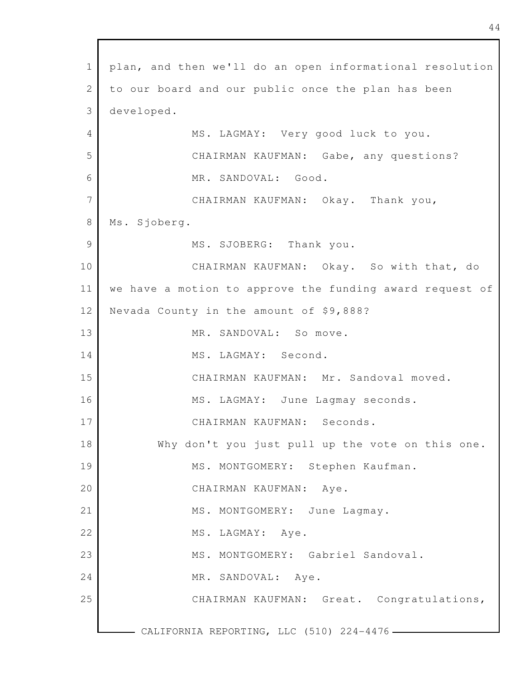1 2 3 4 5 6 7 8 9 10 11 12 13 14 15 16 17 18 19 20 21 22 23 24 25 CALIFORNIA REPORTING, LLC (510) 224-4476 plan, and then we'll do an open informational resolution to our board and our public once the plan has been developed. MS. LAGMAY: Very good luck to you. CHAIRMAN KAUFMAN: Gabe, any questions? MR. SANDOVAL: Good. CHAIRMAN KAUFMAN: Okay. Thank you, Ms. Sjoberg. MS. SJOBERG: Thank you. CHAIRMAN KAUFMAN: Okay. So with that, do we have a motion to approve the funding award request of Nevada County in the amount of \$9,888? MR. SANDOVAL: So move. MS. LAGMAY: Second. CHAIRMAN KAUFMAN: Mr. Sandoval moved. MS. LAGMAY: June Lagmay seconds. CHAIRMAN KAUFMAN: Seconds. Why don't you just pull up the vote on this one. MS. MONTGOMERY: Stephen Kaufman. CHAIRMAN KAUFMAN: Aye. MS. MONTGOMERY: June Lagmay. MS. LAGMAY: Aye. MS. MONTGOMERY: Gabriel Sandoval. MR. SANDOVAL: Aye. CHAIRMAN KAUFMAN: Great. Congratulations,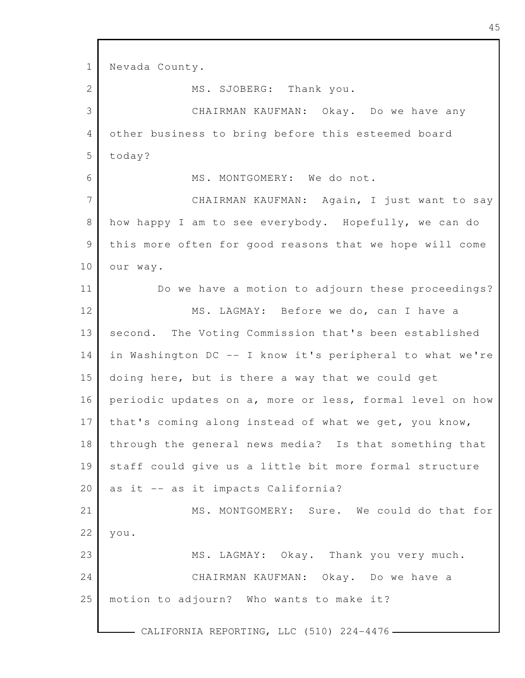1 2 3 4 5 6 7 8 9 10 11 12 13 14 15 16 17 18 19 20 21 22 23 24 25 - CALIFORNIA REPORTING, LLC (510) 224-4476-Nevada County. MS. SJOBERG: Thank you. CHAIRMAN KAUFMAN: Okay. Do we have any other business to bring before this esteemed board today? MS. MONTGOMERY: We do not. CHAIRMAN KAUFMAN: Again, I just want to say how happy I am to see everybody. Hopefully, we can do this more often for good reasons that we hope will come our way. Do we have a motion to adjourn these proceedings? MS. LAGMAY: Before we do, can I have a second. The Voting Commission that's been established in Washington DC -- I know it's peripheral to what we're doing here, but is there a way that we could get periodic updates on a, more or less, formal level on how that's coming along instead of what we get, you know, through the general news media? Is that something that staff could give us a little bit more formal structure as it -- as it impacts California? MS. MONTGOMERY: Sure. We could do that for you. MS. LAGMAY: Okay. Thank you very much. CHAIRMAN KAUFMAN: Okay. Do we have a motion to adjourn? Who wants to make it?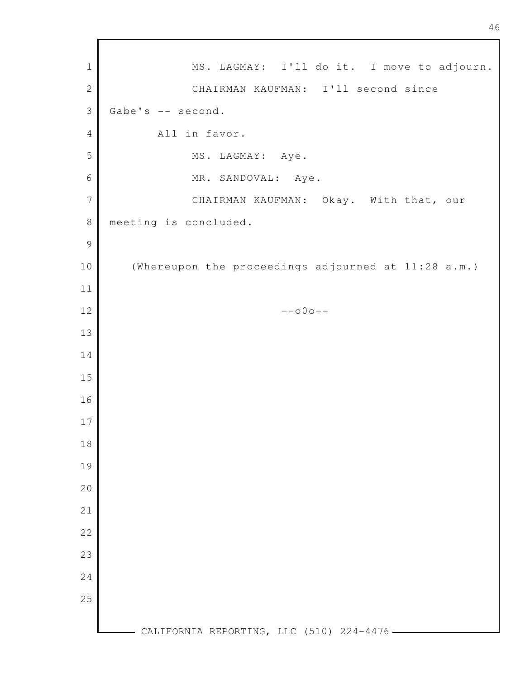- CALIFORNIA REPORTING, LLC (510) 224-4476 -MS. LAGMAY: I'll do it. I move to adjourn. CHAIRMAN KAUFMAN: I'll second since Gabe's -- second. All in favor. MS. LAGMAY: Aye. MR. SANDOVAL: Aye. CHAIRMAN KAUFMAN: Okay. With that, our meeting is concluded. (Whereupon the proceedings adjourned at 11:28 a.m.) --o0o--